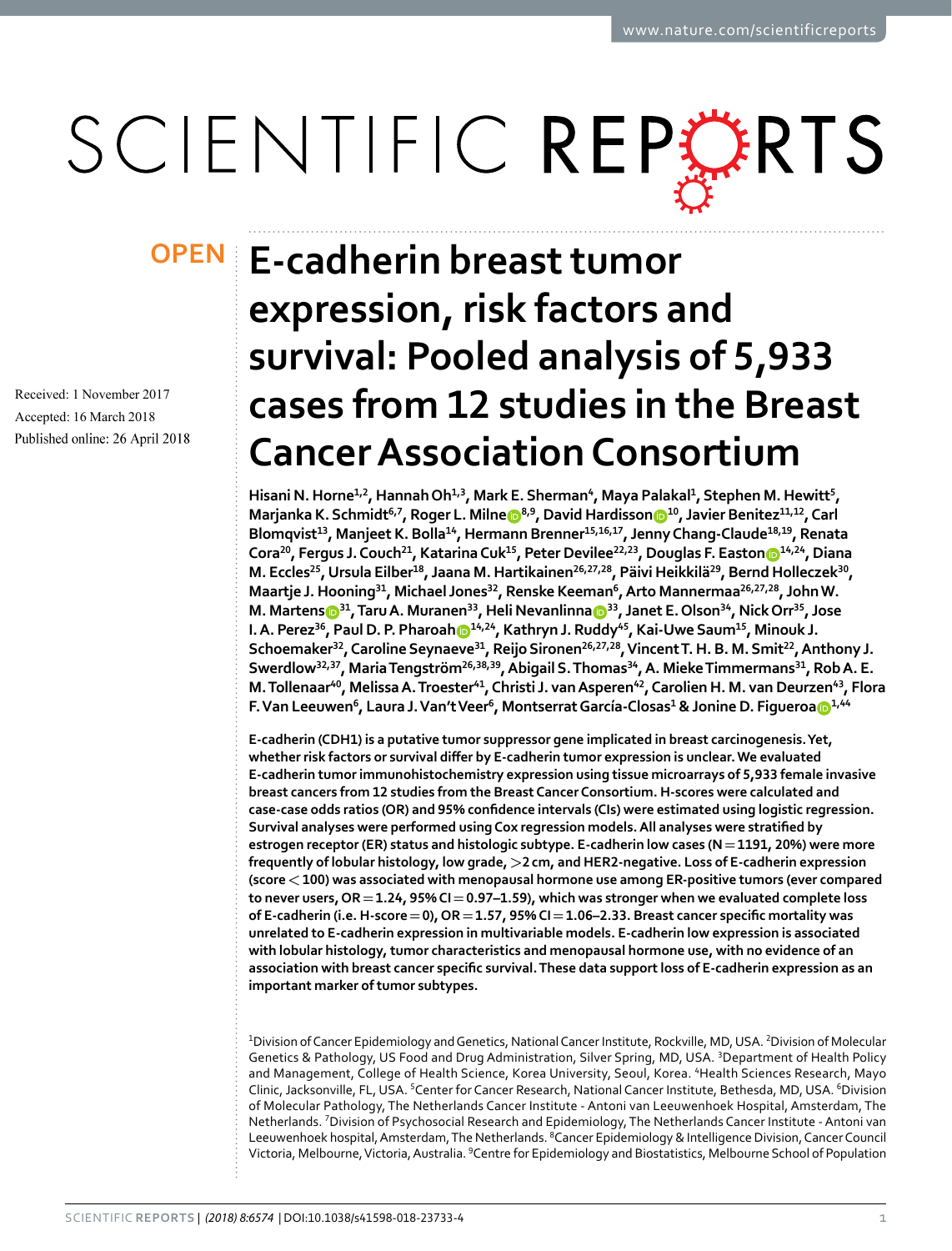# SCIENTIFIC REPERTS

Received: 1 November 2017 Accepted: 16 March 2018 Published online: 26 April 2018

## **E-cadherin breast tumor OPENexpression, risk factors and survival: Pooled analysis of 5,933 cases from 12 studies in the Breast Cancer Association Consortium**

**Hisani N. Horne1,2, Hannah Oh1,3, Mark E. Sherman<sup>4</sup> , Maya Palakal<sup>1</sup> , Stephen M. Hewitt<sup>5</sup> , Marjanka K. Schmidt6,7, Roger L. Miln[e](http://orcid.org/0000-0001-5764-7268) 8,9, David Hardisson [1](http://orcid.org/0000-0002-2183-3699)0, Javier Benitez11,12, Carl Blomqvist13, Manjeet K. Bolla14, Hermann Brenner15,16,17, Jenny Chang-Claude18,19, Renata Cora<sup>20</sup>, Fergus J. Couch<sup>21</sup>, Katarina Cuk<sup>15</sup>, Peter Devilee22,23, Douglas F. Easton 14,24, Diana M. Eccles<sup>25</sup>, Ursula Eilber<sup>18</sup>, Jaana M. Hartikainen26,27,28, Päivi Heikkilä29, Bernd Holleczek30, Maartje J. Hooning<sup>31</sup>, Michael Jones<sup>32</sup>, Renske Keeman<sup>6</sup> , Arto Mannermaa26,27,28, John W. M. Martens <sup>31</sup>, Taru A. Muranen<sup>33</sup>, Heli Nevanlinna <sup>33</sup>, Janet E. Olson<sup>34</sup>, Nick Orr<sup>35</sup>, Jose I. A. Perez36, Paul D. P. Pharoah 14,24, Kathryn J. Ruddy<sup>45</sup>, Kai-Uwe Saum<sup>15</sup>, Minouk J. Schoemaker<sup>32</sup>, Caroline Seynaeve<sup>31</sup>, Reijo Sironen26,27,28, Vincent T. H. B. M. Smit<sup>22</sup>, Anthony J. Swerdlow32,37, Maria Tengström26,38,39, Abigail S. Thomas<sup>34</sup>, A. Mieke Timmermans<sup>31</sup>, Rob A. E. M. Tollenaar<sup>40</sup>, Melissa A. Troester<sup>41</sup>, Christi J. van Asperen<sup>42</sup>, Carolien H. M. van Deurzen43, Flora F. Van Leeuwen<sup>6</sup> , Laura J. Van't Veer<sup>6</sup> , Montserrat García-Closas<sup>1</sup> & Jonine D. Figueroa 1,44**

**E-cadherin (CDH1) is a putative tumor suppressor gene implicated in breast carcinogenesis. Yet, whether risk factors or survival difer by E-cadherin tumor expression is unclear. We evaluated E-cadherin tumor immunohistochemistry expression using tissue microarrays of 5,933 female invasive breast cancers from 12 studies from the Breast Cancer Consortium. H-scores were calculated and case-case odds ratios (OR) and 95% confdence intervals (CIs) were estimated using logistic regression. Survival analyses were performed using Cox regression models. All analyses were stratifed by estrogen receptor (ER) status and histologic subtype. E-cadherin low cases (N=1191, 20%) were more frequently of lobular histology, low grade,>2cm, and HER2-negative. Loss of E-cadherin expression (score<100) was associated with menopausal hormone use among ER-positive tumors (ever compared to never users, OR=1.24, 95% CI=0.97–1.59), which was stronger when we evaluated complete loss of E-cadherin (i.e. H-score=0), OR=1.57, 95% CI=1.06–2.33. Breast cancer specifc mortality was unrelated to E-cadherin expression in multivariable models. E-cadherin low expression is associated with lobular histology, tumor characteristics and menopausal hormone use, with no evidence of an association with breast cancer specifc survival. These data support loss of E-cadherin expression as an important marker of tumor subtypes.**

<sup>1</sup>Division of Cancer Epidemiology and Genetics, National Cancer Institute, Rockville, MD, USA. <sup>2</sup>Division of Molecular Genetics & Pathology, US Food and Drug Administration, Silver Spring, MD, USA. <sup>3</sup>Department of Health Policy and Management, College of Health Science, Korea University, Seoul, Korea. <sup>4</sup>Health Sciences Research, Mayo Clinic, Jacksonville, FL, USA. <sup>5</sup>Center for Cancer Research, National Cancer Institute, Bethesda, MD, USA. <sup>6</sup>Division of Molecular Pathology, The Netherlands Cancer Institute - Antoni van Leeuwenhoek Hospital, Amsterdam, The Netherlands. <sup>7</sup> Division of Psychosocial Research and Epidemiology, The Netherlands Cancer Institute - Antoni van Leeuwenhoek hospital, Amsterdam, The Netherlands. <sup>8</sup>Cancer Epidemiology & Intelligence Division, Cancer Council Victoria, Melbourne, Victoria, Australia. <sup>9</sup>Centre for Epidemiology and Biostatistics, Melbourne School of Population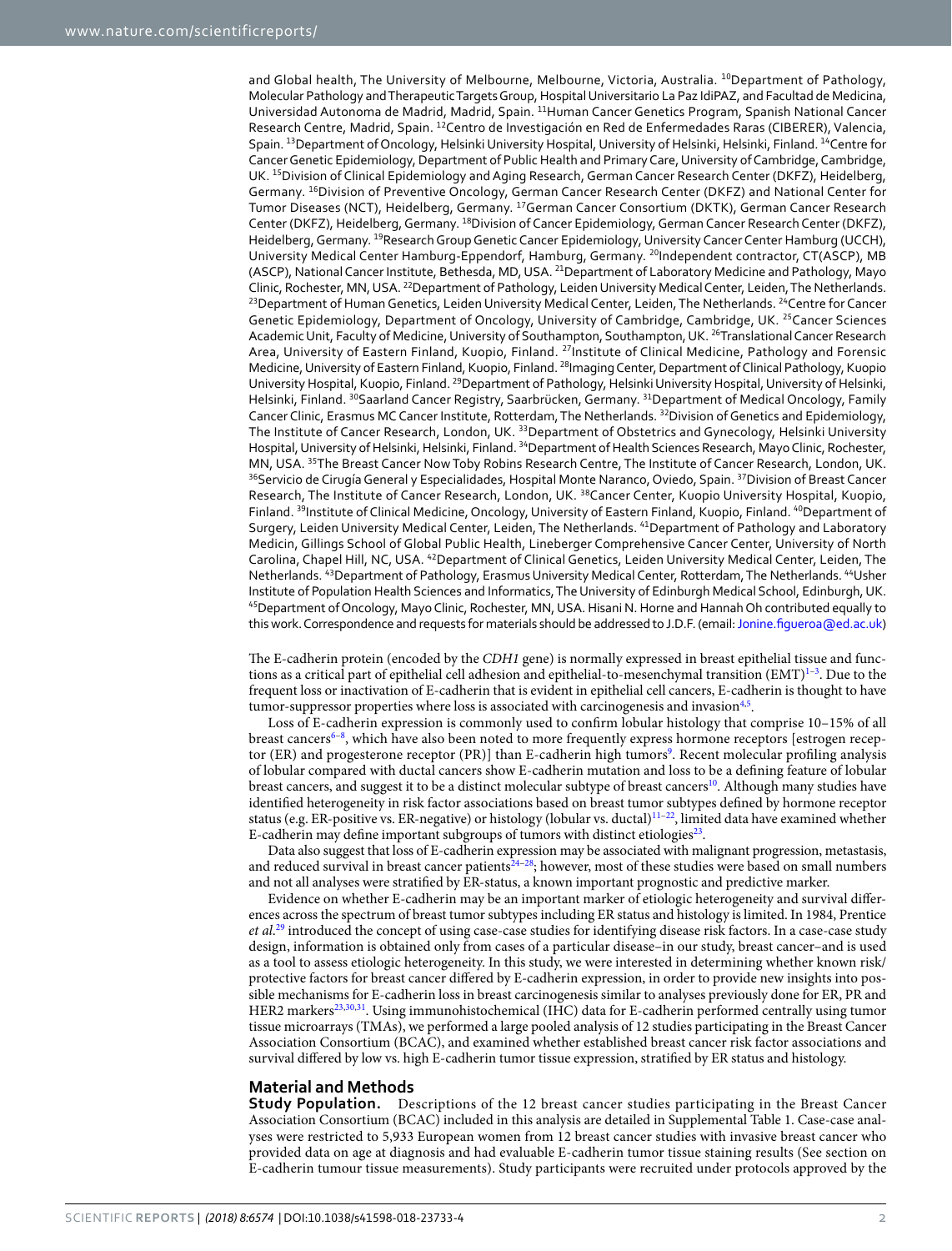and Global health, The University of Melbourne, Melbourne, Victoria, Australia. <sup>10</sup>Department of Pathology, Molecular Pathology and Therapeutic Targets Group, Hospital Universitario La Paz IdiPAZ, and Facultad de Medicina, Universidad Autonoma de Madrid, Madrid, Spain. <sup>11</sup>Human Cancer Genetics Program, Spanish National Cancer Research Centre, Madrid, Spain. <sup>12</sup>Centro de Investigación en Red de Enfermedades Raras (CIBERER), Valencia, Spain. <sup>13</sup>Department of Oncology, Helsinki University Hospital, University of Helsinki, Helsinki, Finland. <sup>14</sup>Centre for Cancer Genetic Epidemiology, Department of Public Health and Primary Care, University of Cambridge, Cambridge, UK. <sup>15</sup>Division of Clinical Epidemiology and Aging Research, German Cancer Research Center (DKFZ), Heidelberg, Germany. <sup>16</sup>Division of Preventive Oncology, German Cancer Research Center (DKFZ) and National Center for Tumor Diseases (NCT), Heidelberg, Germany. <sup>17</sup>German Cancer Consortium (DKTK), German Cancer Research Center (DKFZ), Heidelberg, Germany. <sup>18</sup>Division of Cancer Epidemiology, German Cancer Research Center (DKFZ), Heidelberg, Germany. <sup>19</sup>Research Group Genetic Cancer Epidemiology, University Cancer Center Hamburg (UCCH), University Medical Center Hamburg-Eppendorf, Hamburg, Germany. <sup>20</sup>Independent contractor, CT(ASCP), MB (ASCP), National Cancer Institute, Bethesda, MD, USA. <sup>21</sup>Department of Laboratory Medicine and Pathology, Mayo Clinic, Rochester, MN, USA. 22Department of Pathology, Leiden University Medical Center, Leiden, The Netherlands. <sup>23</sup>Department of Human Genetics, Leiden University Medical Center, Leiden, The Netherlands. <sup>24</sup>Centre for Cancer Genetic Epidemiology, Department of Oncology, University of Cambridge, Cambridge, UK. <sup>25</sup>Cancer Sciences Academic Unit, Faculty of Medicine, University of Southampton, Southampton, UK. <sup>26</sup>Translational Cancer Research Area, University of Eastern Finland, Kuopio, Finland. <sup>27</sup>Institute of Clinical Medicine, Pathology and Forensic Medicine, University of Eastern Finland, Kuopio, Finland. <sup>28</sup>Imaging Center, Department of Clinical Pathology, Kuopio University Hospital, Kuopio, Finland. <sup>29</sup>Department of Pathology, Helsinki University Hospital, University of Helsinki, Helsinki, Finland. <sup>30</sup>Saarland Cancer Registry, Saarbrücken, Germany. <sup>31</sup>Department of Medical Oncology, Family Cancer Clinic, Erasmus MC Cancer Institute, Rotterdam, The Netherlands. <sup>32</sup>Division of Genetics and Epidemiology, The Institute of Cancer Research, London, UK.<sup>33</sup>Department of Obstetrics and Gynecology, Helsinki University Hospital, University of Helsinki, Helsinki, Finland. <sup>34</sup>Department of Health Sciences Research, Mayo Clinic, Rochester, MN, USA. 35The Breast Cancer Now Toby Robins Research Centre, The Institute of Cancer Research, London, UK. <sup>36</sup>Servicio de Cirugía General y Especialidades, Hospital Monte Naranco, Oviedo, Spain. <sup>37</sup>Division of Breast Cancer Research, The Institute of Cancer Research, London, UK.<sup>38</sup>Cancer Center, Kuopio University Hospital, Kuopio, Finland. <sup>39</sup>Institute of Clinical Medicine, Oncology, University of Eastern Finland, Kuopio, Finland. <sup>40</sup>Department of Surgery, Leiden University Medical Center, Leiden, The Netherlands. <sup>41</sup>Department of Pathology and Laboratory Medicin, Gillings School of Global Public Health, Lineberger Comprehensive Cancer Center, University of North Carolina, Chapel Hill, NC, USA. <sup>42</sup>Department of Clinical Genetics, Leiden University Medical Center, Leiden, The Netherlands. <sup>43</sup>Department of Pathology, Erasmus University Medical Center, Rotterdam, The Netherlands. <sup>44</sup>Usher Institute of Population Health Sciences and Informatics, The University of Edinburgh Medical School, Edinburgh, UK. <sup>45</sup>Department of Oncology, Mayo Clinic, Rochester, MN, USA. Hisani N. Horne and Hannah Oh contributed equally to this work. Correspondence and requests for materials should be addressed to J.D.F. (email: [Jonine.fgueroa@ed.ac.uk](mailto:Jonine.figueroa@ed.ac.uk))

The E-cadherin protein (encoded by the *CDH1* gene) is normally expressed in breast epithelial tissue and func-tions as a critical part of epithelial cell adhesion and epithelial-to-mesenchymal transition (EMT)<sup>1-[3](#page-7-1)</sup>. Due to the frequent loss or inactivation of E-cadherin that is evident in epithelial cell cancers, E-cadherin is thought to have tumor-suppressor properties where loss is associated with carcinogenesis and invasion<sup>[4,](#page-8-0)[5](#page-8-1)</sup>.

Loss of E-cadherin expression is commonly used to confrm lobular histology that comprise 10–15% of all breast cancers<sup>6[–8](#page-8-3)</sup>, which have also been noted to more frequently express hormone receptors [estrogen recep-tor (ER) and progesterone receptor (PR)] than E-cadherin high tumors<sup>[9](#page-8-4)</sup>. Recent molecular profiling analysis of lobular compared with ductal cancers show E-cadherin mutation and loss to be a defning feature of lobular breast cancers, and suggest it to be a distinct molecular subtype of breast cancers<sup>10</sup>. Although many studies have identifed heterogeneity in risk factor associations based on breast tumor subtypes defned by hormone receptor status (e.g. ER-positive vs. ER-negative) or histology (lobular vs. ductal)<sup>11-[22](#page-8-7)</sup>, limited data have examined whether E-cadherin may define important subgroups of tumors with distinct etiologies<sup>23</sup>.

Data also suggest that loss of E-cadherin expression may be associated with malignant progression, metastasis, and reduced survival in breast cancer patients<sup>[24](#page-8-9)-28</sup>; however, most of these studies were based on small numbers and not all analyses were stratifed by ER-status, a known important prognostic and predictive marker.

Evidence on whether E-cadherin may be an important marker of etiologic heterogeneity and survival diferences across the spectrum of breast tumor subtypes including ER status and histology is limited. In 1984, Prentice *et al*. [29](#page-8-11) introduced the concept of using case-case studies for identifying disease risk factors. In a case-case study design, information is obtained only from cases of a particular disease–in our study, breast cancer–and is used as a tool to assess etiologic heterogeneity. In this study, we were interested in determining whether known risk/ protective factors for breast cancer difered by E-cadherin expression, in order to provide new insights into possible mechanisms for E-cadherin loss in breast carcinogenesis similar to analyses previously done for ER, PR and HER2 markers<sup>23,[30,](#page-8-12)31</sup>. Using immunohistochemical (IHC) data for E-cadherin performed centrally using tumor tissue microarrays (TMAs), we performed a large pooled analysis of 12 studies participating in the Breast Cancer Association Consortium (BCAC), and examined whether established breast cancer risk factor associations and survival difered by low vs. high E-cadherin tumor tissue expression, stratifed by ER status and histology.

#### **Material and Methods**

**Study Population.** Descriptions of the 12 breast cancer studies participating in the Breast Cancer Association Consortium (BCAC) included in this analysis are detailed in Supplemental Table 1. Case-case analyses were restricted to 5,933 European women from 12 breast cancer studies with invasive breast cancer who provided data on age at diagnosis and had evaluable E-cadherin tumor tissue staining results (See section on E-cadherin tumour tissue measurements). Study participants were recruited under protocols approved by the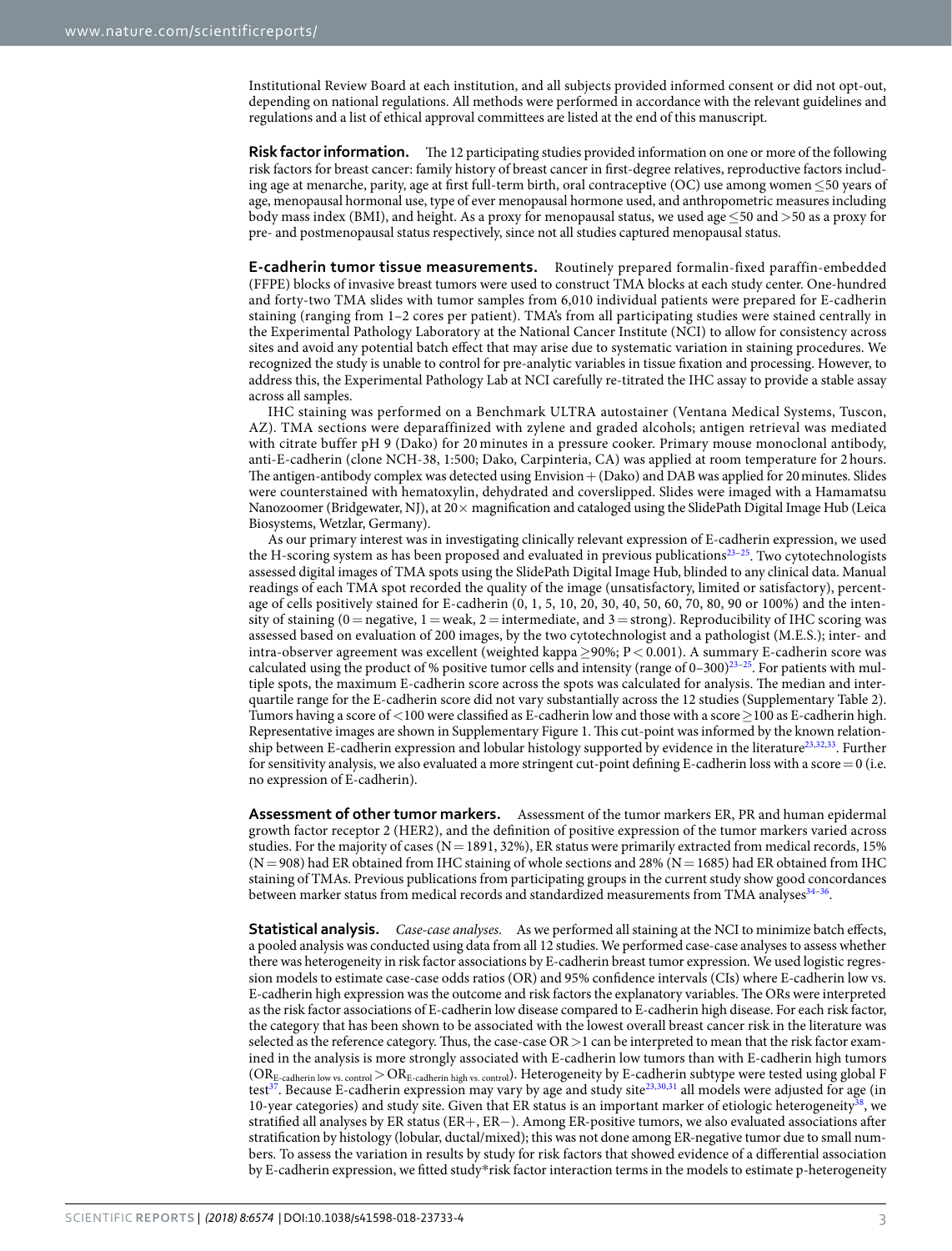Institutional Review Board at each institution, and all subjects provided informed consent or did not opt-out, depending on national regulations. All methods were performed in accordance with the relevant guidelines and regulations and a list of ethical approval committees are listed at the end of this manuscript.

**Risk factor information.** The 12 participating studies provided information on one or more of the following risk factors for breast cancer: family history of breast cancer in frst-degree relatives, reproductive factors including age at menarche, parity, age at frst full-term birth, oral contraceptive (OC) use among women≤50 years of age, menopausal hormonal use, type of ever menopausal hormone used, and anthropometric measures including body mass index (BMI), and height. As a proxy for menopausal status, we used age≤50 and>50 as a proxy for pre- and postmenopausal status respectively, since not all studies captured menopausal status.

**E-cadherin tumor tissue measurements.** Routinely prepared formalin-fixed paraffin-embedded (FFPE) blocks of invasive breast tumors were used to construct TMA blocks at each study center. One-hundred and forty-two TMA slides with tumor samples from 6,010 individual patients were prepared for E-cadherin staining (ranging from 1–2 cores per patient). TMA's from all participating studies were stained centrally in the Experimental Pathology Laboratory at the National Cancer Institute (NCI) to allow for consistency across sites and avoid any potential batch efect that may arise due to systematic variation in staining procedures. We recognized the study is unable to control for pre-analytic variables in tissue fxation and processing. However, to address this, the Experimental Pathology Lab at NCI carefully re-titrated the IHC assay to provide a stable assay across all samples.

IHC staining was performed on a Benchmark ULTRA autostainer (Ventana Medical Systems, Tuscon, AZ). TMA sections were deparaffinized with zylene and graded alcohols; antigen retrieval was mediated with citrate buffer pH 9 (Dako) for 20 minutes in a pressure cooker. Primary mouse monoclonal antibody, anti-E-cadherin (clone NCH-38, 1:500; Dako, Carpinteria, CA) was applied at room temperature for 2 hours. The antigen-antibody complex was detected using Envision + (Dako) and DAB was applied for 20 minutes. Slides were counterstained with hematoxylin, dehydrated and coverslipped. Slides were imaged with a Hamamatsu Nanozoomer (Bridgewater, NJ), at  $20 \times$  magnification and cataloged using the SlidePath Digital Image Hub (Leica Biosystems, Wetzlar, Germany).

As our primary interest was in investigating clinically relevant expression of E-cadherin expression, we used the H-scoring system as has been proposed and evaluated in previous publications<sup>[23](#page-8-8)-25</sup>. Two cytotechnologists assessed digital images of TMA spots using the SlidePath Digital Image Hub, blinded to any clinical data. Manual readings of each TMA spot recorded the quality of the image (unsatisfactory, limited or satisfactory), percentage of cells positively stained for E-cadherin (0, 1, 5, 10, 20, 30, 40, 50, 60, 70, 80, 90 or 100%) and the intensity of staining  $(0 =$ negative,  $1 =$ weak,  $2 =$ intermediate, and  $3 =$ strong). Reproducibility of IHC scoring was assessed based on evaluation of 200 images, by the two cytotechnologist and a pathologist (M.E.S.); inter- and intra-observer agreement was excellent (weighted kappa≥90%; P<0.001). A summary E-cadherin score was calculated using the product of % positive tumor cells and intensity (range of  $0-300)^{23-25}$ . For patients with multiple spots, the maximum E-cadherin score across the spots was calculated for analysis. The median and interquartile range for the E-cadherin score did not vary substantially across the 12 studies (Supplementary Table 2). Tumors having a score of <100 were classifed as E-cadherin low and those with a score≥100 as E-cadherin high. Representative images are shown in Supplementary Figure 1. Tis cut-point was informed by the known relationship between E-cadherin expression and lobular histology supported by evidence in the literatur[e23](#page-8-8)[,32](#page-8-15)[,33](#page-8-16). Further for sensitivity analysis, we also evaluated a more stringent cut-point defining E-cadherin loss with a score  $=0$  (i.e. no expression of E-cadherin).

**Assessment of other tumor markers.** Assessment of the tumor markers ER, PR and human epidermal growth factor receptor 2 (HER2), and the defnition of positive expression of the tumor markers varied across studies. For the majority of cases ( $N=1891, 32\%$ ), ER status were primarily extracted from medical records, 15%  $(N=908)$  had ER obtained from IHC staining of whole sections and 28%  $(N=1685)$  had ER obtained from IHC staining of TMAs. Previous publications from participating groups in the current study show good concordances between marker status from medical records and standardized measurements from TMA analyses $34-36$ .

**Statistical analysis.** *Case-case analyses*. As we performed all staining at the NCI to minimize batch efects, a pooled analysis was conducted using data from all 12 studies. We performed case-case analyses to assess whether there was heterogeneity in risk factor associations by E-cadherin breast tumor expression. We used logistic regression models to estimate case-case odds ratios (OR) and 95% confdence intervals (CIs) where E-cadherin low vs. E-cadherin high expression was the outcome and risk factors the explanatory variables. The ORs were interpreted as the risk factor associations of E-cadherin low disease compared to E-cadherin high disease. For each risk factor, the category that has been shown to be associated with the lowest overall breast cancer risk in the literature was selected as the reference category. Thus, the case-case  $OR>1$  can be interpreted to mean that the risk factor examined in the analysis is more strongly associated with E-cadherin low tumors than with E-cadherin high tumors  $(OR_{E\text{-caled}}\gg OR_{E\text{-calderin}})$  and  $OR_{E\text{-calderin}}$  high vs. control). Heterogeneity by E-cadherin subtype were tested using global F test<sup>37</sup>. Because E-cadherin expression may vary by age and study site<sup>[23,](#page-8-8)[30,](#page-8-12)31</sup> all models were adjusted for age (in 10-year categories) and study site. Given that ER status is an important marker of etiologic heterogeneity<sup>38</sup>, we stratifed all analyses by ER status (ER+, ER−). Among ER-positive tumors, we also evaluated associations afer stratifcation by histology (lobular, ductal/mixed); this was not done among ER-negative tumor due to small numbers. To assess the variation in results by study for risk factors that showed evidence of a diferential association by E-cadherin expression, we ftted study\*risk factor interaction terms in the models to estimate p-heterogeneity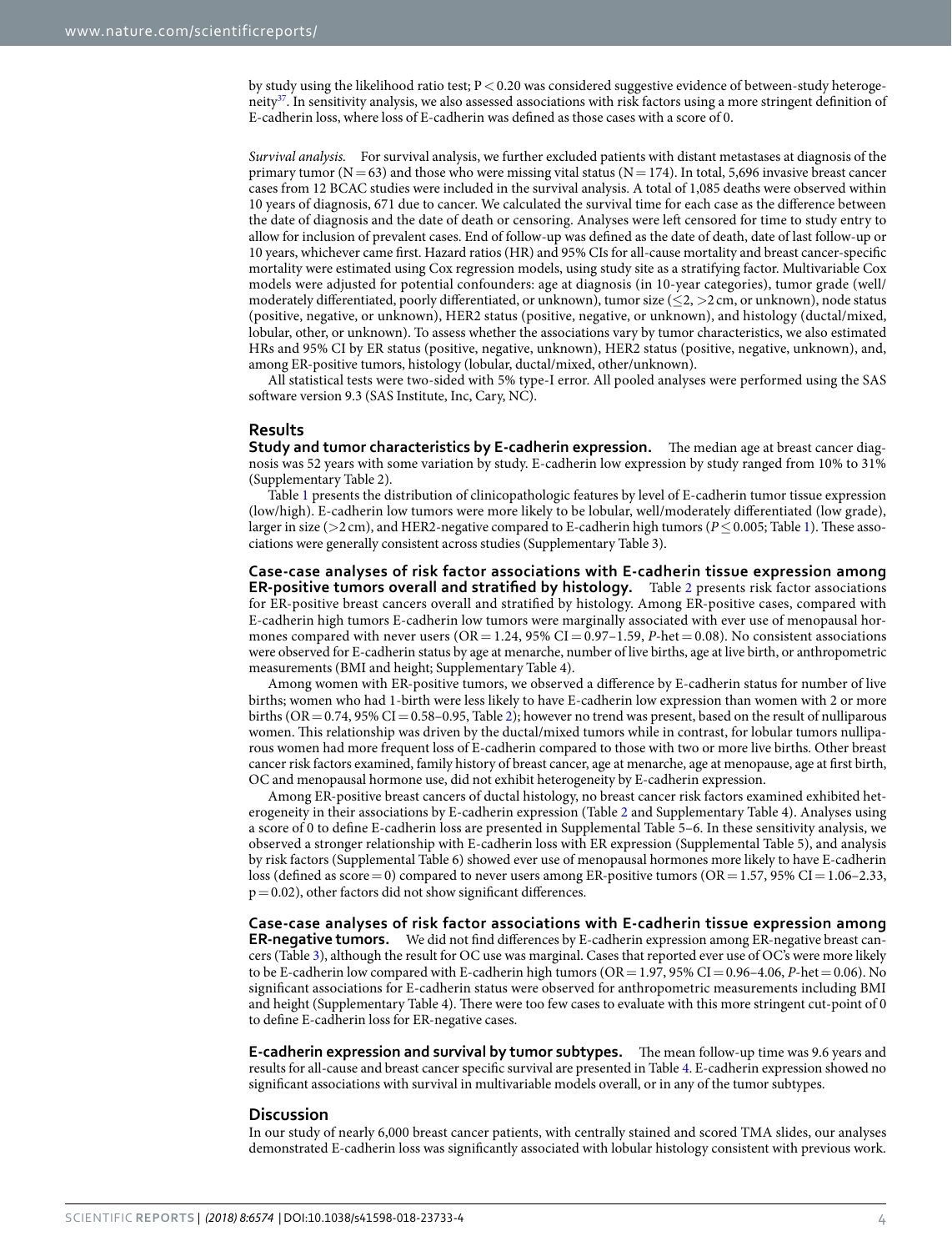by study using the likelihood ratio test;  $P < 0.20$  was considered suggestive evidence of between-study heteroge-neity<sup>[37](#page-8-19)</sup>. In sensitivity analysis, we also assessed associations with risk factors using a more stringent definition of E-cadherin loss, where loss of E-cadherin was defned as those cases with a score of 0.

*Survival analysis.* For survival analysis, we further excluded patients with distant metastases at diagnosis of the primary tumor ( $N=63$ ) and those who were missing vital status ( $N=174$ ). In total, 5,696 invasive breast cancer cases from 12 BCAC studies were included in the survival analysis. A total of 1,085 deaths were observed within 10 years of diagnosis, 671 due to cancer. We calculated the survival time for each case as the diference between the date of diagnosis and the date of death or censoring. Analyses were left censored for time to study entry to allow for inclusion of prevalent cases. End of follow-up was defned as the date of death, date of last follow-up or 10 years, whichever came frst. Hazard ratios (HR) and 95% CIs for all-cause mortality and breast cancer-specifc mortality were estimated using Cox regression models, using study site as a stratifying factor. Multivariable Cox models were adjusted for potential confounders: age at diagnosis (in 10-year categories), tumor grade (well/ moderately diferentiated, poorly diferentiated, or unknown), tumor size (≤2, >2 cm, or unknown), node status (positive, negative, or unknown), HER2 status (positive, negative, or unknown), and histology (ductal/mixed, lobular, other, or unknown). To assess whether the associations vary by tumor characteristics, we also estimated HRs and 95% CI by ER status (positive, negative, unknown), HER2 status (positive, negative, unknown), and, among ER-positive tumors, histology (lobular, ductal/mixed, other/unknown).

All statistical tests were two-sided with 5% type-I error. All pooled analyses were performed using the SAS software version 9.3 (SAS Institute, Inc, Cary, NC).

#### **Results**

**Study and tumor characteristics by E-cadherin expression.** The median age at breast cancer diagnosis was 52 years with some variation by study. E-cadherin low expression by study ranged from 10% to 31% (Supplementary Table 2).

Table [1](#page-4-0) presents the distribution of clinicopathologic features by level of E-cadherin tumor tissue expression (low/high). E-cadherin low tumors were more likely to be lobular, well/moderately diferentiated (low grade), larger in size ( $>2$  cm), and HER2-negative compared to E-cadherin high tumors ( $P \le 0.005$ ; Table [1](#page-4-0)). These associations were generally consistent across studies (Supplementary Table 3).

**Case-case analyses of risk factor associations with E-cadherin tissue expression among ER-positive tumors overall and stratifed by histology.** Table [2](#page-5-0) presents risk factor associations for ER-positive breast cancers overall and stratifed by histology. Among ER-positive cases, compared with E-cadherin high tumors E-cadherin low tumors were marginally associated with ever use of menopausal hormones compared with never users  $(OR = 1.24, 95\% \text{ CI} = 0.97-1.59, P-het = 0.08)$ . No consistent associations were observed for E-cadherin status by age at menarche, number of live births, age at live birth, or anthropometric measurements (BMI and height; Supplementary Table 4).

Among women with ER-positive tumors, we observed a diference by E-cadherin status for number of live births; women who had 1-birth were less likely to have E-cadherin low expression than women with 2 or more births (OR =  $0.74$ , 95% CI =  $0.58$ –0.95, Table [2\)](#page-5-0); however no trend was present, based on the result of nulliparous women. This relationship was driven by the ductal/mixed tumors while in contrast, for lobular tumors nulliparous women had more frequent loss of E-cadherin compared to those with two or more live births. Other breast cancer risk factors examined, family history of breast cancer, age at menarche, age at menopause, age at frst birth, OC and menopausal hormone use, did not exhibit heterogeneity by E-cadherin expression.

Among ER-positive breast cancers of ductal histology, no breast cancer risk factors examined exhibited heterogeneity in their associations by E-cadherin expression (Table [2](#page-5-0) and Supplementary Table 4). Analyses using a score of 0 to defne E-cadherin loss are presented in Supplemental Table 5–6. In these sensitivity analysis, we observed a stronger relationship with E-cadherin loss with ER expression (Supplemental Table 5), and analysis by risk factors (Supplemental Table 6) showed ever use of menopausal hormones more likely to have E-cadherin loss (defined as score=0) compared to never users among ER-positive tumors ( $OR = 1.57$ , 95%  $CI = 1.06 - 2.33$ ,  $p=0.02$ ), other factors did not show significant differences.

**Case-case analyses of risk factor associations with E-cadherin tissue expression among ER-negative tumors.** We did not fnd diferences by E-cadherin expression among ER-negative breast cancers (Table [3\)](#page-6-0), although the result for OC use was marginal. Cases that reported ever use of OC's were more likely to be E-cadherin low compared with E-cadherin high tumors ( $OR = 1.97$ ,  $95\%$  CI $= 0.96-4.06$ , *P*-het $= 0.06$ ). No signifcant associations for E-cadherin status were observed for anthropometric measurements including BMI and height (Supplementary Table 4). There were too few cases to evaluate with this more stringent cut-point of  $0$ to defne E-cadherin loss for ER-negative cases.

**E-cadherin expression and survival by tumor subtypes.** The mean follow-up time was 9.6 years and results for all-cause and breast cancer specifc survival are presented in Table [4](#page-7-2). E-cadherin expression showed no signifcant associations with survival in multivariable models overall, or in any of the tumor subtypes.

#### **Discussion**

In our study of nearly 6,000 breast cancer patients, with centrally stained and scored TMA slides, our analyses demonstrated E-cadherin loss was signifcantly associated with lobular histology consistent with previous work.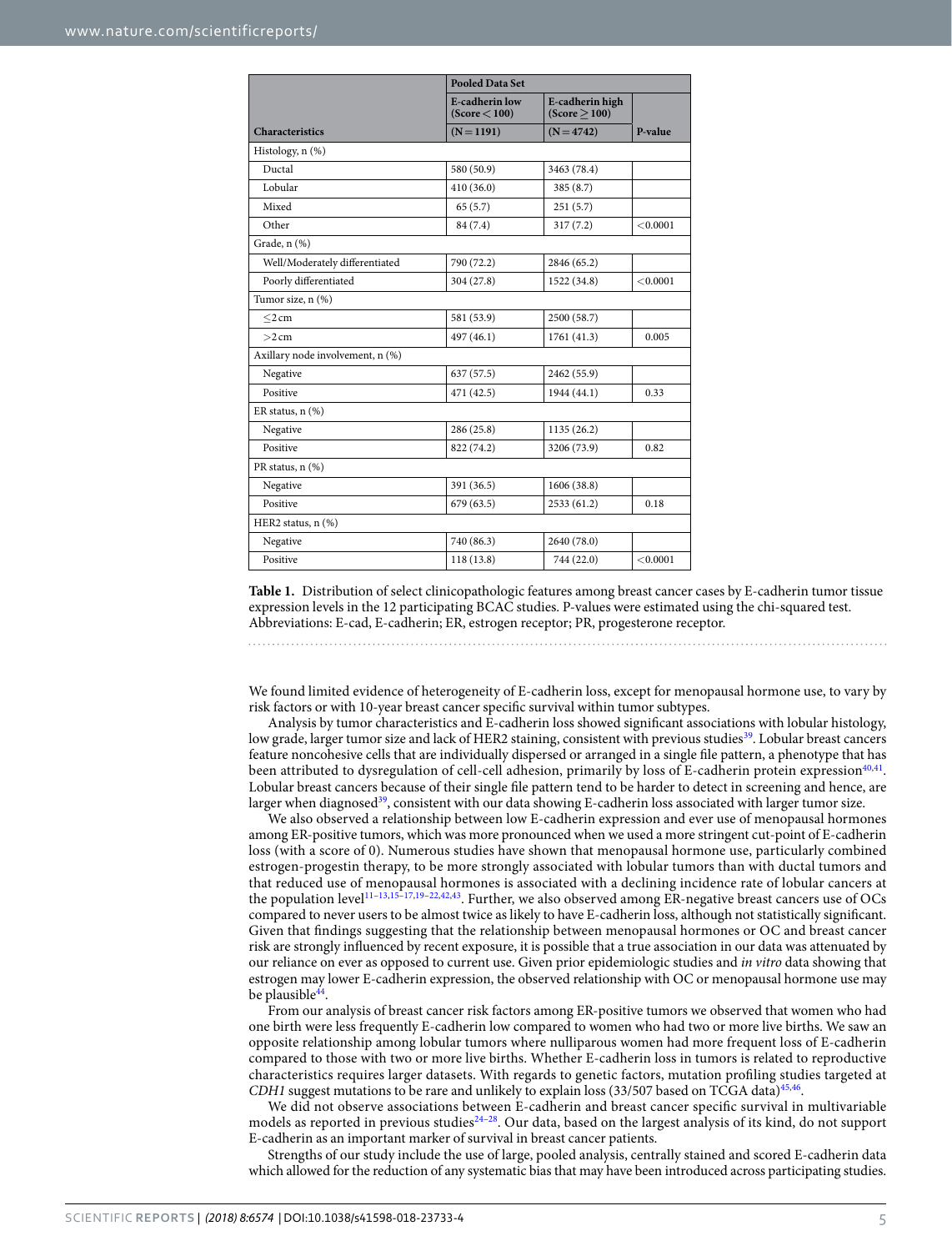<span id="page-4-0"></span>

|                                  | <b>Pooled Data Set</b>                 |                                  |          |  |  |  |  |  |
|----------------------------------|----------------------------------------|----------------------------------|----------|--|--|--|--|--|
|                                  | <b>E-cadherin low</b><br>(Score < 100) | E-cadherin high<br>(Score > 100) |          |  |  |  |  |  |
| Characteristics                  | $(N=1191)$                             | $(N = 4742)$                     | P-value  |  |  |  |  |  |
| Histology, n (%)                 |                                        |                                  |          |  |  |  |  |  |
| Ductal                           | 580 (50.9)                             | 3463 (78.4)                      |          |  |  |  |  |  |
| Lobular                          | 410 (36.0)                             | 385 (8.7)                        |          |  |  |  |  |  |
| Mixed                            | 65(5.7)                                | 251(5.7)                         |          |  |  |  |  |  |
| Other                            | 84 (7.4)                               | 317(7.2)                         | < 0.0001 |  |  |  |  |  |
| Grade, n (%)                     |                                        |                                  |          |  |  |  |  |  |
| Well/Moderately differentiated   | 790 (72.2)                             | 2846 (65.2)                      |          |  |  |  |  |  |
| Poorly differentiated            | 304 (27.8)                             | 1522 (34.8)                      | < 0.0001 |  |  |  |  |  |
| Tumor size, n (%)                |                                        |                                  |          |  |  |  |  |  |
| $<$ 2 $cm$                       | 581 (53.9)                             | 2500 (58.7)                      |          |  |  |  |  |  |
| $>2$ cm                          | 497 (46.1)                             | 1761 (41.3)                      | 0.005    |  |  |  |  |  |
| Axillary node involvement, n (%) |                                        |                                  |          |  |  |  |  |  |
| Negative                         | 637 (57.5)                             | 2462 (55.9)                      |          |  |  |  |  |  |
| Positive                         | 471 (42.5)                             | 1944 (44.1)                      | 0.33     |  |  |  |  |  |
| ER status, $n$ $(\%)$            |                                        |                                  |          |  |  |  |  |  |
| Negative                         | 286 (25.8)                             | 1135 (26.2)                      |          |  |  |  |  |  |
| Positive                         | 822 (74.2)                             | 3206 (73.9)                      | 0.82     |  |  |  |  |  |
| PR status, n (%)                 |                                        |                                  |          |  |  |  |  |  |
| Negative                         | 391 (36.5)                             | 1606 (38.8)                      |          |  |  |  |  |  |
| Positive                         | 679(63.5)                              | 2533 (61.2)                      | 0.18     |  |  |  |  |  |
| HER2 status, n (%)               |                                        |                                  |          |  |  |  |  |  |
| Negative                         | 740 (86.3)                             | 2640 (78.0)                      |          |  |  |  |  |  |
| Positive                         | 118 (13.8)                             | 744 (22.0)                       | < 0.0001 |  |  |  |  |  |

**Table 1.** Distribution of select clinicopathologic features among breast cancer cases by E-cadherin tumor tissue expression levels in the 12 participating BCAC studies. P-values were estimated using the chi-squared test. Abbreviations: E-cad, E-cadherin; ER, estrogen receptor; PR, progesterone receptor.

We found limited evidence of heterogeneity of E-cadherin loss, except for menopausal hormone use, to vary by risk factors or with 10-year breast cancer specifc survival within tumor subtypes.

Analysis by tumor characteristics and E-cadherin loss showed signifcant associations with lobular histology, low grade, larger tumor size and lack of HER2 staining, consistent with previous studies<sup>39</sup>. Lobular breast cancers feature noncohesive cells that are individually dispersed or arranged in a single fle pattern, a phenotype that has been attributed to dysregulation of cell-cell adhesion, primarily by loss of E-cadherin protein expression<sup>[40](#page-8-22),41</sup>. Lobular breast cancers because of their single fle pattern tend to be harder to detect in screening and hence, are larger when diagnosed<sup>[39](#page-8-21)</sup>, consistent with our data showing E-cadherin loss associated with larger tumor size.

We also observed a relationship between low E-cadherin expression and ever use of menopausal hormones among ER-positive tumors, which was more pronounced when we used a more stringent cut-point of E-cadherin loss (with a score of 0). Numerous studies have shown that menopausal hormone use, particularly combined estrogen-progestin therapy, to be more strongly associated with lobular tumors than with ductal tumors and that reduced use of menopausal hormones is associated with a declining incidence rate of lobular cancers at the population leve[l11–](#page-8-6)[13,](#page-8-24)[15–](#page-8-25)[17](#page-8-26),[19–](#page-8-27)[22](#page-8-7),[42](#page-9-0),[43.](#page-9-1) Further, we also observed among ER-negative breast cancers use of OCs compared to never users to be almost twice as likely to have E-cadherin loss, although not statistically signifcant. Given that fndings suggesting that the relationship between menopausal hormones or OC and breast cancer risk are strongly infuenced by recent exposure, it is possible that a true association in our data was attenuated by our reliance on ever as opposed to current use. Given prior epidemiologic studies and *in vitro* data showing that estrogen may lower E-cadherin expression, the observed relationship with OC or menopausal hormone use may be plausible<sup>[44](#page-9-2)</sup>.

From our analysis of breast cancer risk factors among ER-positive tumors we observed that women who had one birth were less frequently E-cadherin low compared to women who had two or more live births. We saw an opposite relationship among lobular tumors where nulliparous women had more frequent loss of E-cadherin compared to those with two or more live births. Whether E-cadherin loss in tumors is related to reproductive characteristics requires larger datasets. With regards to genetic factors, mutation profling studies targeted at *CDH1* suggest mutations to be rare and unlikely to explain loss (33/507 based on TCGA data)<sup>45,46</sup>.

We did not observe associations between E-cadherin and breast cancer specifc survival in multivariable models as reported in previous studies<sup>24-[28](#page-8-10)</sup>. Our data, based on the largest analysis of its kind, do not support E-cadherin as an important marker of survival in breast cancer patients.

Strengths of our study include the use of large, pooled analysis, centrally stained and scored E-cadherin data which allowed for the reduction of any systematic bias that may have been introduced across participating studies.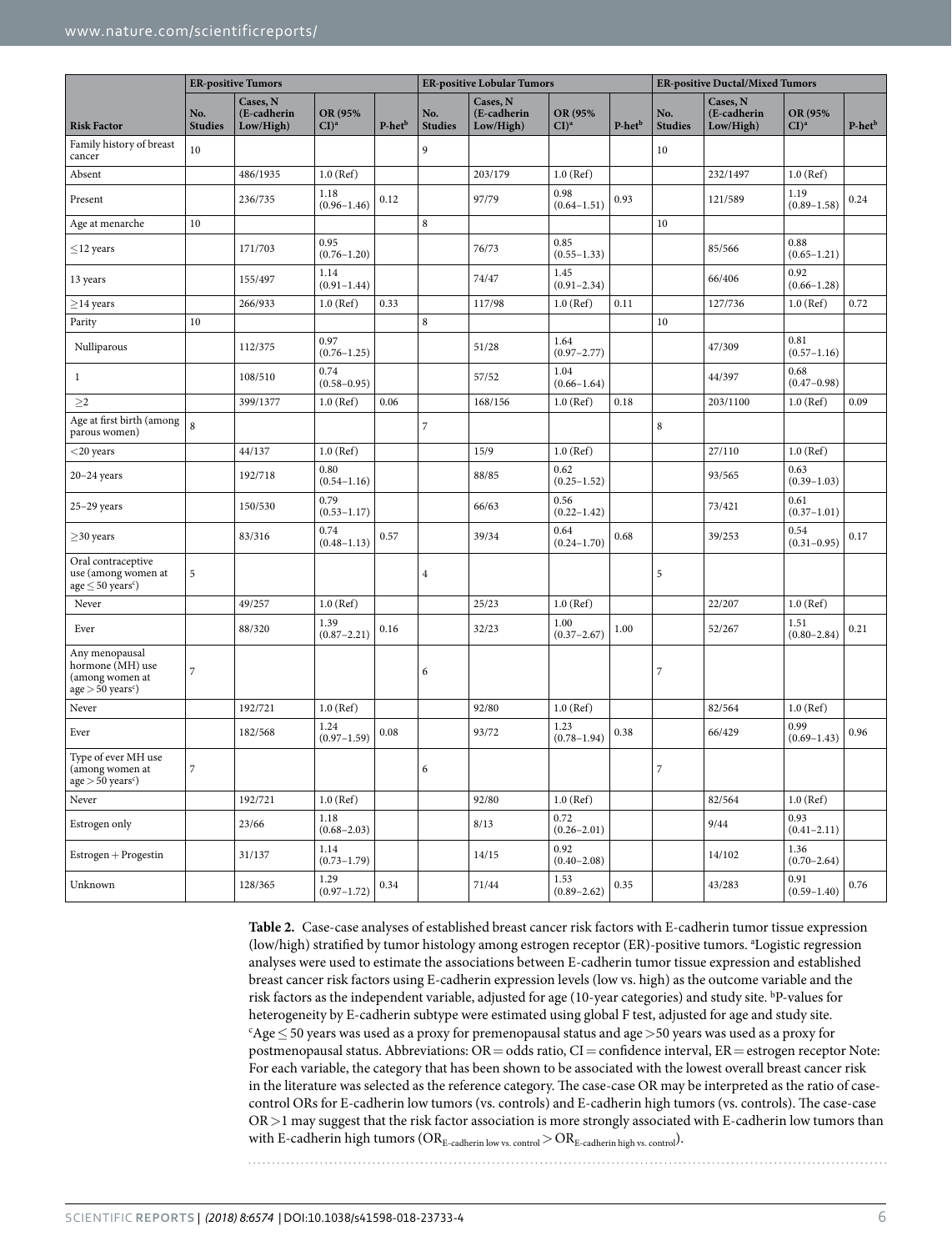<span id="page-5-0"></span>

|                                                                                         | <b>ER-positive Tumors</b> |                                      |                              |                    | <b>ER-positive Lobular Tumors</b> |                                      |                              |                    | <b>ER-positive Ductal/Mixed Tumors</b> |                                      |                             |                    |
|-----------------------------------------------------------------------------------------|---------------------------|--------------------------------------|------------------------------|--------------------|-----------------------------------|--------------------------------------|------------------------------|--------------------|----------------------------------------|--------------------------------------|-----------------------------|--------------------|
| <b>Risk Factor</b>                                                                      | No.<br><b>Studies</b>     | Cases, N<br>(E-cadherin<br>Low/High) | OR (95%<br>$CI$ <sup>a</sup> | P-het <sup>b</sup> | No.<br><b>Studies</b>             | Cases, N<br>(E-cadherin<br>Low/High) | OR (95%<br>$CI$ <sup>a</sup> | P-het <sup>b</sup> | No.<br><b>Studies</b>                  | Cases, N<br>(E-cadherin<br>Low/High) | OR (95%<br>CI) <sup>a</sup> | P-het <sup>b</sup> |
| Family history of breast<br>cancer                                                      | 10                        |                                      |                              |                    | 9                                 |                                      |                              |                    | 10                                     |                                      |                             |                    |
| Absent                                                                                  |                           | 486/1935                             | $1.0$ (Ref)                  |                    |                                   | 203/179                              | $1.0$ (Ref)                  |                    |                                        | 232/1497                             | $1.0$ (Ref)                 |                    |
| Present                                                                                 |                           | 236/735                              | 1.18<br>$(0.96 - 1.46)$      | 0.12               |                                   | 97/79                                | 0.98<br>$(0.64 - 1.51)$      | 0.93               |                                        | 121/589                              | 1.19<br>$(0.89 - 1.58)$     | 0.24               |
| Age at menarche                                                                         | 10                        |                                      |                              |                    | $\,$ 8 $\,$                       |                                      |                              |                    | 10                                     |                                      |                             |                    |
| $\leq$ 12 years                                                                         |                           | 171/703                              | 0.95<br>$(0.76 - 1.20)$      |                    |                                   | 76/73                                | 0.85<br>$(0.55 - 1.33)$      |                    |                                        | 85/566                               | 0.88<br>$(0.65 - 1.21)$     |                    |
| 13 years                                                                                |                           | 155/497                              | 1.14<br>$(0.91 - 1.44)$      |                    |                                   | 74/47                                | 1.45<br>$(0.91 - 2.34)$      |                    |                                        | 66/406                               | 0.92<br>$(0.66 - 1.28)$     |                    |
| $\geq$ 14 years                                                                         |                           | 266/933                              | $1.0$ (Ref)                  | 0.33               |                                   | 117/98                               | $1.0$ (Ref)                  | 0.11               |                                        | 127/736                              | $1.0$ (Ref)                 | 0.72               |
| Parity                                                                                  | 10                        |                                      |                              |                    | $\,8\,$                           |                                      |                              |                    | 10                                     |                                      |                             |                    |
| Nulliparous                                                                             |                           | 112/375                              | 0.97<br>$(0.76 - 1.25)$      |                    |                                   | 51/28                                | 1.64<br>$(0.97 - 2.77)$      |                    |                                        | 47/309                               | 0.81<br>$(0.57 - 1.16)$     |                    |
| $\mathbf{1}$                                                                            |                           | 108/510                              | 0.74<br>$(0.58 - 0.95)$      |                    |                                   | 57/52                                | 1.04<br>$(0.66 - 1.64)$      |                    |                                        | 44/397                               | 0.68<br>$(0.47 - 0.98)$     |                    |
| $\geq$                                                                                  |                           | 399/1377                             | $1.0$ (Ref)                  | 0.06               |                                   | 168/156                              | $1.0$ (Ref)                  | 0.18               |                                        | 203/1100                             | $1.0$ (Ref)                 | 0.09               |
| Age at first birth (among<br>parous women)                                              | 8                         |                                      |                              |                    | $\overline{7}$                    |                                      |                              |                    | 8                                      |                                      |                             |                    |
| $<$ 20 years                                                                            |                           | 44/137                               | $1.0$ (Ref)                  |                    |                                   | 15/9                                 | $1.0$ (Ref)                  |                    |                                        | 27/110                               | $1.0$ (Ref)                 |                    |
| $20-24$ years                                                                           |                           | 192/718                              | 0.80<br>$(0.54 - 1.16)$      |                    |                                   | 88/85                                | 0.62<br>$(0.25 - 1.52)$      |                    |                                        | 93/565                               | 0.63<br>$(0.39 - 1.03)$     |                    |
| $25-29$ years                                                                           |                           | 150/530                              | 0.79<br>$(0.53 - 1.17)$      |                    |                                   | 66/63                                | 0.56<br>$(0.22 - 1.42)$      |                    |                                        | 73/421                               | 0.61<br>$(0.37 - 1.01)$     |                    |
| $\geq$ 30 years                                                                         |                           | 83/316                               | 0.74<br>$(0.48 - 1.13)$      | 0.57               |                                   | 39/34                                | 0.64<br>$(0.24 - 1.70)$      | 0.68               |                                        | 39/253                               | 0.54<br>$(0.31 - 0.95)$     | 0.17               |
| Oral contraceptive<br>use (among women at<br>$age \leq 50 \text{ years}$ <sup>c</sup> ) | 5                         |                                      |                              |                    | $\,4\,$                           |                                      |                              |                    | 5                                      |                                      |                             |                    |
| Never                                                                                   |                           | 49/257                               | $1.0$ (Ref)                  |                    |                                   | 25/23                                | $1.0$ (Ref)                  |                    |                                        | 22/207                               | $1.0$ (Ref)                 |                    |
| Ever                                                                                    |                           | 88/320                               | 1.39<br>$(0.87 - 2.21)$      | 0.16               |                                   | 32/23                                | 1.00<br>$(0.37 - 2.67)$      | 1.00               |                                        | 52/267                               | 1.51<br>$(0.80 - 2.84)$     | 0.21               |
| Any menopausal<br>hormone (MH) use<br>(among women at<br>$age > 50 \text{ years}$ c)    | $\overline{7}$            |                                      |                              |                    | 6                                 |                                      |                              |                    | $\overline{7}$                         |                                      |                             |                    |
| Never                                                                                   |                           | 192/721                              | $1.0$ (Ref)                  |                    |                                   | 92/80                                | $1.0$ (Ref)                  |                    |                                        | 82/564                               | $1.0$ (Ref)                 |                    |
| Ever                                                                                    |                           | 182/568                              | 1.24<br>$(0.97 - 1.59)$      | 0.08               |                                   | 93/72                                | 1.23<br>$(0.78 - 1.94)$      | 0.38               |                                        | 66/429                               | 0.99<br>$(0.69 - 1.43)$     | 0.96               |
| Type of ever MH use<br>(among women at<br>$age > 50 \text{ years}$ <sup>c</sup> )       | 7                         |                                      |                              |                    | 6                                 |                                      |                              |                    | $\overline{7}$                         |                                      |                             |                    |
| Never                                                                                   |                           | 192/721                              | $1.0$ (Ref)                  |                    |                                   | 92/80                                | $1.0$ (Ref)                  |                    |                                        | 82/564                               | $1.0$ (Ref)                 |                    |
| Estrogen only                                                                           |                           | 23/66                                | 1.18<br>$(0.68 - 2.03)$      |                    |                                   | 8/13                                 | 0.72<br>$(0.26 - 2.01)$      |                    |                                        | 9/44                                 | 0.93<br>$(0.41 - 2.11)$     |                    |
| $Estrogen + Progestin$                                                                  |                           | 31/137                               | 1.14<br>$(0.73 - 1.79)$      |                    |                                   | 14/15                                | 0.92<br>$(0.40 - 2.08)$      |                    |                                        | 14/102                               | 1.36<br>$(0.70 - 2.64)$     |                    |
| Unknown                                                                                 |                           | 128/365                              | 1.29<br>$(0.97 - 1.72)$      | 0.34               |                                   | 71/44                                | 1.53<br>$(0.89 - 2.62)$      | 0.35               |                                        | 43/283                               | 0.91<br>$(0.59 - 1.40)$     | 0.76               |

**Table 2.** Case-case analyses of established breast cancer risk factors with E-cadherin tumor tissue expression (low/high) stratifed by tumor histology among estrogen receptor (ER)-positive tumors. a Logistic regression analyses were used to estimate the associations between E-cadherin tumor tissue expression and established breast cancer risk factors using E-cadherin expression levels (low vs. high) as the outcome variable and the risk factors as the independent variable, adjusted for age (10-year categories) and study site. <sup>b</sup>P-values for heterogeneity by E-cadherin subtype were estimated using global F test, adjusted for age and study site. c Age≤50 years was used as a proxy for premenopausal status and age>50 years was used as a proxy for postmenopausal status. Abbreviations: OR = odds ratio, CI = confidence interval, ER = estrogen receptor Note: For each variable, the category that has been shown to be associated with the lowest overall breast cancer risk in the literature was selected as the reference category. The case-case OR may be interpreted as the ratio of casecontrol ORs for E-cadherin low tumors (vs. controls) and E-cadherin high tumors (vs. controls). The case-case  $OR > 1$  may suggest that the risk factor association is more strongly associated with E-cadherin low tumors than with E-cadherin high tumors  $(OR_{E\text{-cadherin low vs. control}} > OR_{E\text{-cadherin high vs. control}}).$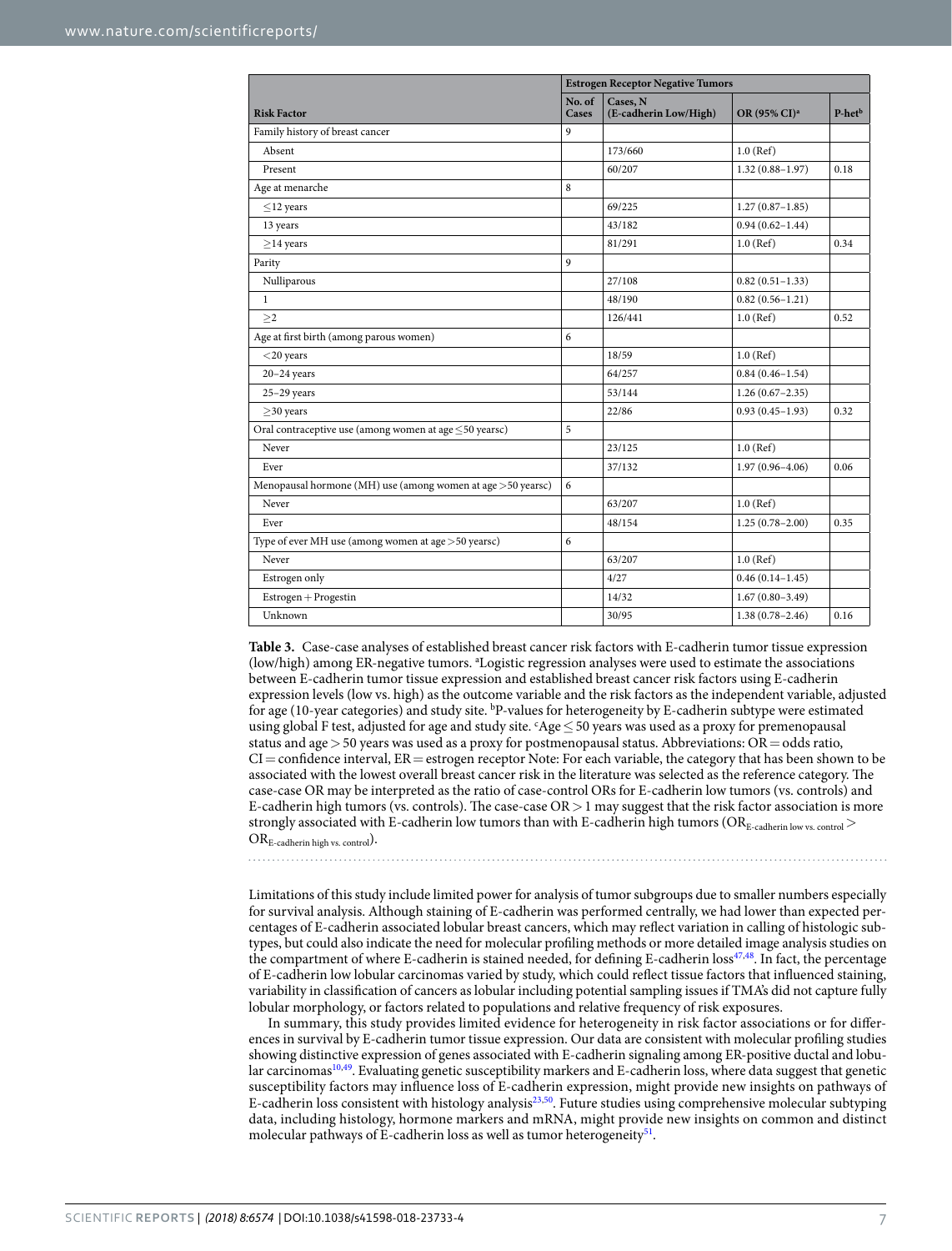<span id="page-6-0"></span>

|                                                               |                 | <b>Estrogen Receptor Negative Tumors</b> |                          |           |  |  |  |  |
|---------------------------------------------------------------|-----------------|------------------------------------------|--------------------------|-----------|--|--|--|--|
| <b>Risk Factor</b>                                            | No. of<br>Cases | Cases, N<br>(E-cadherin Low/High)        | OR (95% CI) <sup>a</sup> | $P-het^b$ |  |  |  |  |
| Family history of breast cancer                               | 9               |                                          |                          |           |  |  |  |  |
| Absent                                                        |                 | 173/660                                  | $1.0$ (Ref)              |           |  |  |  |  |
| Present                                                       |                 | 60/207                                   | $1.32(0.88 - 1.97)$      | 0.18      |  |  |  |  |
| Age at menarche                                               | 8               |                                          |                          |           |  |  |  |  |
| $\leq$ 12 years                                               |                 | 69/225                                   | $1.27(0.87 - 1.85)$      |           |  |  |  |  |
| 13 years                                                      |                 | 43/182                                   | $0.94(0.62 - 1.44)$      |           |  |  |  |  |
| $\geq$ 14 years                                               |                 | 81/291                                   | $1.0$ (Ref)              | 0.34      |  |  |  |  |
| Parity                                                        | 9               |                                          |                          |           |  |  |  |  |
| Nulliparous                                                   |                 | 27/108                                   | $0.82(0.51 - 1.33)$      |           |  |  |  |  |
| $\mathbf{1}$                                                  |                 | 48/190                                   | $0.82(0.56 - 1.21)$      |           |  |  |  |  |
| $\geq$                                                        |                 | 126/441                                  | $1.0$ (Ref)              | 0.52      |  |  |  |  |
| Age at first birth (among parous women)                       | 6               |                                          |                          |           |  |  |  |  |
| $<$ 20 years                                                  |                 | 18/59                                    | $1.0$ (Ref)              |           |  |  |  |  |
| $20-24$ years                                                 |                 | 64/257                                   | $0.84(0.46 - 1.54)$      |           |  |  |  |  |
| $25-29$ years                                                 |                 | 53/144                                   | $1.26(0.67-2.35)$        |           |  |  |  |  |
| $\geq$ 30 years                                               |                 | 22/86                                    | $0.93(0.45 - 1.93)$      | 0.32      |  |  |  |  |
| Oral contraceptive use (among women at age $\leq$ 50 yearsc)  | 5               |                                          |                          |           |  |  |  |  |
| Never                                                         |                 | 23/125                                   | $1.0$ (Ref)              |           |  |  |  |  |
| Ever                                                          |                 | 37/132                                   | $1.97(0.96 - 4.06)$      | 0.06      |  |  |  |  |
| Menopausal hormone (MH) use (among women at age $>50$ yearsc) | 6               |                                          |                          |           |  |  |  |  |
| Never                                                         |                 | 63/207                                   | $1.0$ (Ref)              |           |  |  |  |  |
| Ever                                                          |                 | 48/154                                   | $1.25(0.78 - 2.00)$      | 0.35      |  |  |  |  |
| Type of ever MH use (among women at age > 50 yearsc)          | 6               |                                          |                          |           |  |  |  |  |
| Never                                                         |                 | 63/207                                   | $1.0$ (Ref)              |           |  |  |  |  |
| Estrogen only                                                 |                 | 4/27                                     | $0.46(0.14-1.45)$        |           |  |  |  |  |
| Estrogen + Progestin                                          |                 | 14/32                                    | $1.67(0.80-3.49)$        |           |  |  |  |  |
| Unknown                                                       |                 | 30/95                                    | $1.38(0.78 - 2.46)$      | 0.16      |  |  |  |  |

**Table 3.** Case-case analyses of established breast cancer risk factors with E-cadherin tumor tissue expression (low/high) among ER-negative tumors. <sup>a</sup>Logistic regression analyses were used to estimate the associations between E-cadherin tumor tissue expression and established breast cancer risk factors using E-cadherin expression levels (low vs. high) as the outcome variable and the risk factors as the independent variable, adjusted for age (10-year categories) and study site. <sup>b</sup>P-values for heterogeneity by E-cadherin subtype were estimated using global F test, adjusted for age and study site. 'Age  $\leq$  50 years was used as a proxy for premenopausal status and age  $>50$  years was used as a proxy for postmenopausal status. Abbreviations: OR = odds ratio,  $CI =$ confidence interval,  $ER =$ estrogen receptor Note: For each variable, the category that has been shown to be associated with the lowest overall breast cancer risk in the literature was selected as the reference category. The case-case OR may be interpreted as the ratio of case-control ORs for E-cadherin low tumors (vs. controls) and E-cadherin high tumors (vs. controls). The case-case  $OR>1$  may suggest that the risk factor association is more strongly associated with E-cadherin low tumors than with E-cadherin high tumors (ORE-cadherin low vs. control> OR<sub>E-cadherin high vs. control</sub>).

Limitations of this study include limited power for analysis of tumor subgroups due to smaller numbers especially for survival analysis. Although staining of E-cadherin was performed centrally, we had lower than expected percentages of E-cadherin associated lobular breast cancers, which may refect variation in calling of histologic subtypes, but could also indicate the need for molecular profling methods or more detailed image analysis studies on the compartment of where E-cadherin is stained needed, for defining E-cadherin loss<sup>47,48</sup>. In fact, the percentage of E-cadherin low lobular carcinomas varied by study, which could refect tissue factors that infuenced staining, variability in classifcation of cancers as lobular including potential sampling issues if TMA's did not capture fully lobular morphology, or factors related to populations and relative frequency of risk exposures.

In summary, this study provides limited evidence for heterogeneity in risk factor associations or for diferences in survival by E-cadherin tumor tissue expression. Our data are consistent with molecular profling studies showing distinctive expression of genes associated with E-cadherin signaling among ER-positive ductal and lobu-lar carcinomas<sup>[10](#page-8-5),[49](#page-9-7)</sup>. Evaluating genetic susceptibility markers and E-cadherin loss, where data suggest that genetic susceptibility factors may infuence loss of E-cadherin expression, might provide new insights on pathways of E-cadherin loss consistent with histology analysi[s23](#page-8-8)[,50.](#page-9-8) Future studies using comprehensive molecular subtyping data, including histology, hormone markers and mRNA, might provide new insights on common and distinct molecular pathways of E-cadherin loss as well as tumor heterogeneity<sup>[51](#page-9-9)</sup>.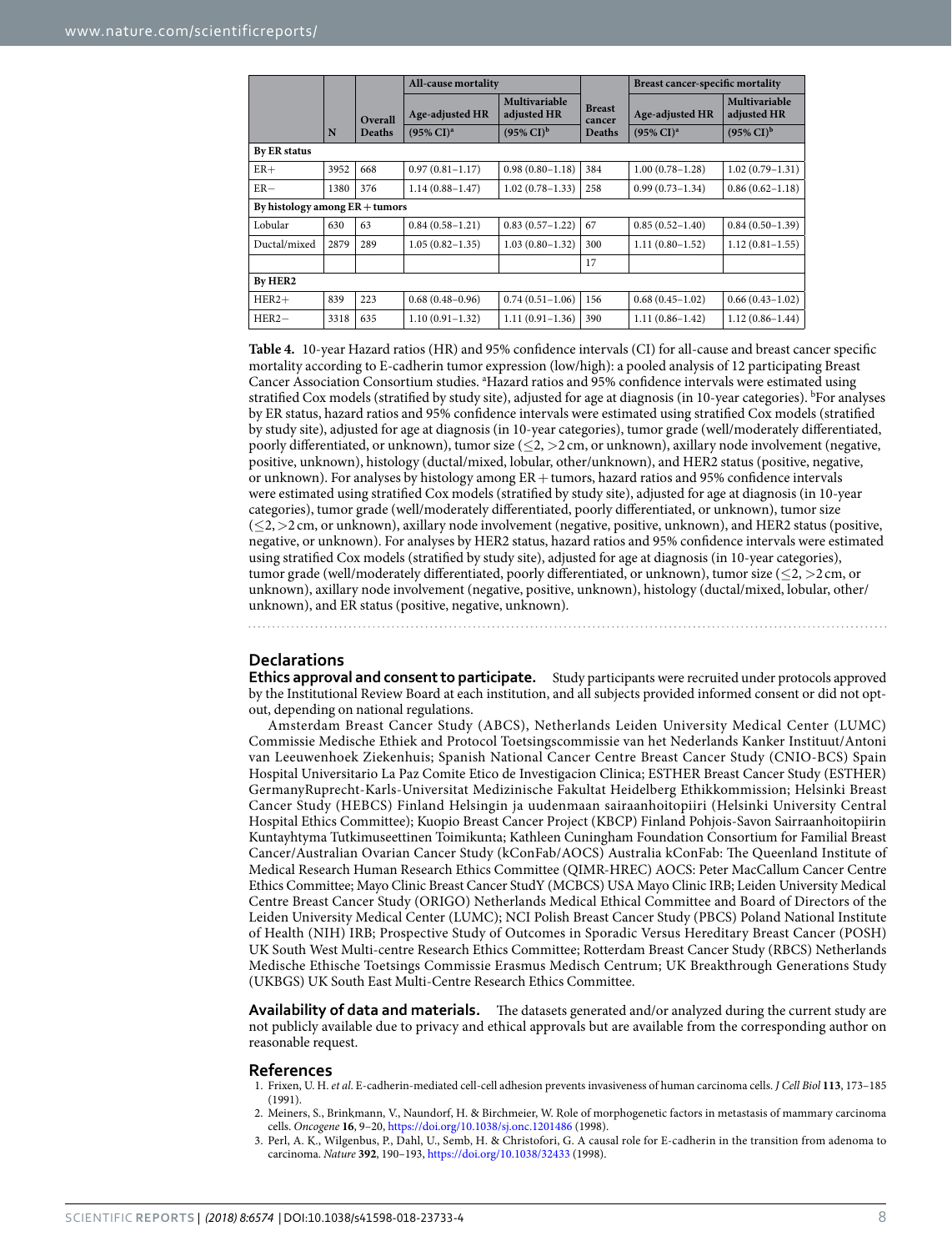<span id="page-7-2"></span>

|                                         |      |                   | <b>All-cause mortality</b>     |                              |                         | <b>Breast cancer-specific mortality</b> |                              |  |  |
|-----------------------------------------|------|-------------------|--------------------------------|------------------------------|-------------------------|-----------------------------------------|------------------------------|--|--|
|                                         |      | Overall<br>Deaths | Age-adjusted HR                | Multivariable<br>adjusted HR | <b>Breast</b><br>cancer | Age-adjusted HR                         | Multivariable<br>adjusted HR |  |  |
|                                         | N    |                   | $(95\% \text{ CI})^{\text{a}}$ | $(95\% \text{ CI})^b$        | Deaths                  | $(95\% \text{ CI})^{\text{a}}$          | $(95\% \text{ CI})^b$        |  |  |
| <b>By ER status</b>                     |      |                   |                                |                              |                         |                                         |                              |  |  |
| $ER+$                                   | 3952 | 668               | $0.97(0.81 - 1.17)$            | $0.98(0.80 - 1.18)$          | 384                     | $1.00(0.78 - 1.28)$                     | $1.02(0.79 - 1.31)$          |  |  |
| $ER-$                                   | 1380 | 376               | $1.14(0.88 - 1.47)$            | $1.02(0.78-1.33)$            | 258                     | $0.99(0.73 - 1.34)$                     | $0.86(0.62 - 1.18)$          |  |  |
| By histology among $ER + \text{tumors}$ |      |                   |                                |                              |                         |                                         |                              |  |  |
| Lobular                                 | 630  | 63                | $0.84(0.58-1.21)$              | $0.83(0.57-1.22)$            | 67                      | $0.85(0.52 - 1.40)$                     | $0.84(0.50-1.39)$            |  |  |
| Ductal/mixed                            | 2879 | 289               | $1.05(0.82 - 1.35)$            | $1.03(0.80-1.32)$            | 300                     | $1.11(0.80-1.52)$                       | $1.12(0.81 - 1.55)$          |  |  |
|                                         |      |                   |                                |                              | 17                      |                                         |                              |  |  |
| By HER2                                 |      |                   |                                |                              |                         |                                         |                              |  |  |
| $HER2+$                                 | 839  | 223               | $0.68(0.48 - 0.96)$            | $0.74(0.51-1.06)$            | 156                     | $0.68(0.45-1.02)$                       | $0.66(0.43 - 1.02)$          |  |  |
| $HER2-$                                 | 3318 | 635               | $1.10(0.91 - 1.32)$            | $1.11(0.91 - 1.36)$          | 390                     | $1.11(0.86 - 1.42)$                     | $1.12(0.86 - 1.44)$          |  |  |

**Table 4.** 10-year Hazard ratios (HR) and 95% confdence intervals (CI) for all-cause and breast cancer specifc mortality according to E-cadherin tumor expression (low/high): a pooled analysis of 12 participating Breast Cancer Association Consortium studies. <sup>a</sup>Hazard ratios and 95% confidence intervals were estimated using stratified Cox models (stratified by study site), adjusted for age at diagnosis (in 10-year categories). <sup>b</sup>For analyses by ER status, hazard ratios and 95% confdence intervals were estimated using stratifed Cox models (stratifed by study site), adjusted for age at diagnosis (in 10-year categories), tumor grade (well/moderately diferentiated, poorly differentiated, or unknown), tumor size ( $\leq$ 2,  $\geq$ 2 cm, or unknown), axillary node involvement (negative, positive, unknown), histology (ductal/mixed, lobular, other/unknown), and HER2 status (positive, negative, or unknown). For analyses by histology among ER+tumors, hazard ratios and 95% confdence intervals were estimated using stratifed Cox models (stratifed by study site), adjusted for age at diagnosis (in 10-year categories), tumor grade (well/moderately diferentiated, poorly diferentiated, or unknown), tumor size  $(\leq 2, >2$  cm, or unknown), axillary node involvement (negative, positive, unknown), and HER2 status (positive, negative, or unknown). For analyses by HER2 status, hazard ratios and 95% confdence intervals were estimated using stratifed Cox models (stratifed by study site), adjusted for age at diagnosis (in 10-year categories), tumor grade (well/moderately differentiated, poorly differentiated, or unknown), tumor size ( $\leq$ 2,  $>$ 2 cm, or unknown), axillary node involvement (negative, positive, unknown), histology (ductal/mixed, lobular, other/ unknown), and ER status (positive, negative, unknown).

### **Declarations**

**Ethics approval and consent to participate.** Study participants were recruited under protocols approved by the Institutional Review Board at each institution, and all subjects provided informed consent or did not optout, depending on national regulations.

Amsterdam Breast Cancer Study (ABCS), Netherlands Leiden University Medical Center (LUMC) Commissie Medische Ethiek and Protocol Toetsingscommissie van het Nederlands Kanker Instituut/Antoni van Leeuwenhoek Ziekenhuis; Spanish National Cancer Centre Breast Cancer Study (CNIO-BCS) Spain Hospital Universitario La Paz Comite Etico de Investigacion Clinica; ESTHER Breast Cancer Study (ESTHER) GermanyRuprecht-Karls-Universitat Medizinische Fakultat Heidelberg Ethikkommission; Helsinki Breast Cancer Study (HEBCS) Finland Helsingin ja uudenmaan sairaanhoitopiiri (Helsinki University Central Hospital Ethics Committee); Kuopio Breast Cancer Project (KBCP) Finland Pohjois-Savon Sairraanhoitopiirin Kuntayhtyma Tutkimuseettinen Toimikunta; Kathleen Cuningham Foundation Consortium for Familial Breast Cancer/Australian Ovarian Cancer Study (kConFab/AOCS) Australia kConFab: The Queenland Institute of Medical Research Human Research Ethics Committee (QIMR-HREC) AOCS: Peter MacCallum Cancer Centre Ethics Committee; Mayo Clinic Breast Cancer StudY (MCBCS) USA Mayo Clinic IRB; Leiden University Medical Centre Breast Cancer Study (ORIGO) Netherlands Medical Ethical Committee and Board of Directors of the Leiden University Medical Center (LUMC); NCI Polish Breast Cancer Study (PBCS) Poland National Institute of Health (NIH) IRB; Prospective Study of Outcomes in Sporadic Versus Hereditary Breast Cancer (POSH) UK South West Multi-centre Research Ethics Committee; Rotterdam Breast Cancer Study (RBCS) Netherlands Medische Ethische Toetsings Commissie Erasmus Medisch Centrum; UK Breakthrough Generations Study (UKBGS) UK South East Multi-Centre Research Ethics Committee.

**Availability of data and materials.** The datasets generated and/or analyzed during the current study are not publicly available due to privacy and ethical approvals but are available from the corresponding author on reasonable request.

#### **References**

- <span id="page-7-0"></span>1. Frixen, U. H. *et al*. E-cadherin-mediated cell-cell adhesion prevents invasiveness of human carcinoma cells. *J Cell Biol* **113**, 173–185 (1991).
- 2. Meiners, S., Brinkmann, V., Naundorf, H. & Birchmeier, W. Role of morphogenetic factors in metastasis of mammary carcinoma cells. *Oncogene* **16**, 9–20, [https://doi.org/10.1038/sj.onc.1201486](http://dx.doi.org/10.1038/sj.onc.1201486) (1998).
- <span id="page-7-1"></span>3. Perl, A. K., Wilgenbus, P., Dahl, U., Semb, H. & Christofori, G. A causal role for E-cadherin in the transition from adenoma to carcinoma. *Nature* **392**, 190–193, [https://doi.org/10.1038/32433](http://dx.doi.org/10.1038/32433) (1998).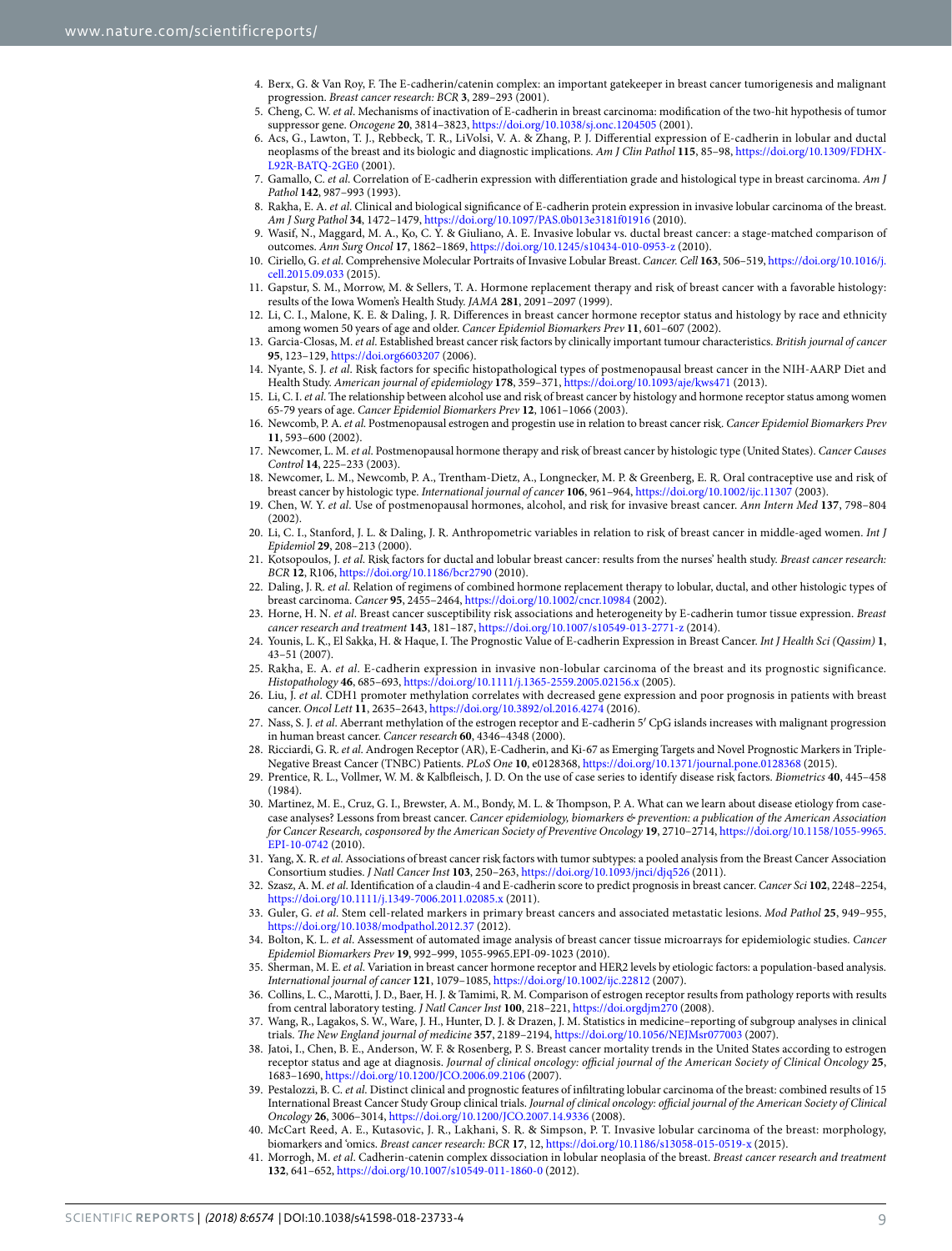- <span id="page-8-0"></span>4. Berx, G. & Van Roy, F. Te E-cadherin/catenin complex: an important gatekeeper in breast cancer tumorigenesis and malignant progression. *Breast cancer research: BCR* **3**, 289–293 (2001).
- <span id="page-8-1"></span>5. Cheng, C. W. *et al*. Mechanisms of inactivation of E-cadherin in breast carcinoma: modifcation of the two-hit hypothesis of tumor suppressor gene. *Oncogene* **20**, 3814–3823, [https://doi.org/10.1038/sj.onc.1204505](http://dx.doi.org/10.1038/sj.onc.1204505) (2001).
- <span id="page-8-2"></span>6. Acs, G., Lawton, T. J., Rebbeck, T. R., LiVolsi, V. A. & Zhang, P. J. Diferential expression of E-cadherin in lobular and ductal neoplasms of the breast and its biologic and diagnostic implications. *Am J Clin Pathol* **115**, 85–98, [https://doi.org/10.1309/FDHX-](http://dx.doi.org/10.1309/FDHX-L92R-BATQ-2GE0)[L92R-BATQ-2GE0](http://dx.doi.org/10.1309/FDHX-L92R-BATQ-2GE0) (2001).
- 7. Gamallo, C. *et al*. Correlation of E-cadherin expression with diferentiation grade and histological type in breast carcinoma. *Am J Pathol* **142**, 987–993 (1993).
- <span id="page-8-3"></span>8. Rakha, E. A. *et al*. Clinical and biological signifcance of E-cadherin protein expression in invasive lobular carcinoma of the breast. *Am J Surg Pathol* **34**, 1472–1479, [https://doi.org/10.1097/PAS.0b013e3181f01916](http://dx.doi.org/10.1097/PAS.0b013e3181f01916) (2010).
- <span id="page-8-4"></span>9. Wasif, N., Maggard, M. A., Ko, C. Y. & Giuliano, A. E. Invasive lobular vs. ductal breast cancer: a stage-matched comparison of outcomes. *Ann Surg Oncol* **17**, 1862–1869, [https://doi.org/10.1245/s10434-010-0953-z](http://dx.doi.org/10.1245/s10434-010-0953-z) (2010).
- <span id="page-8-5"></span>10. Ciriello, G. *et al*. Comprehensive Molecular Portraits of Invasive Lobular Breast. *Cancer. Cell* **163**, 506–519, [https://doi.org/10.1016/j.](http://dx.doi.org/10.1016/j.cell.2015.09.033) [cell.2015.09.033](http://dx.doi.org/10.1016/j.cell.2015.09.033) (2015).
- <span id="page-8-6"></span>11. Gapstur, S. M., Morrow, M. & Sellers, T. A. Hormone replacement therapy and risk of breast cancer with a favorable histology: results of the Iowa Women's Health Study. *JAMA* **281**, 2091–2097 (1999).
- 12. Li, C. I., Malone, K. E. & Daling, J. R. Diferences in breast cancer hormone receptor status and histology by race and ethnicity among women 50 years of age and older. *Cancer Epidemiol Biomarkers Prev* **11**, 601–607 (2002).
- <span id="page-8-24"></span>13. Garcia-Closas, M. *et al*. Established breast cancer risk factors by clinically important tumour characteristics. *British journal of cancer* **95**, 123–129,<https://doi.org6603207> (2006).
- 14. Nyante, S. J. *et al*. Risk factors for specifc histopathological types of postmenopausal breast cancer in the NIH-AARP Diet and Health Study. *American journal of epidemiology* **178**, 359–371, [https://doi.org/10.1093/aje/kws471](http://dx.doi.org/10.1093/aje/kws471) (2013).
- <span id="page-8-25"></span>15. Li, C. I. *et al*. The relationship between alcohol use and risk of breast cancer by histology and hormone receptor status among women 65-79 years of age. *Cancer Epidemiol Biomarkers Prev* **12**, 1061–1066 (2003).
- 16. Newcomb, P. A. *et al*. Postmenopausal estrogen and progestin use in relation to breast cancer risk. *Cancer Epidemiol Biomarkers Prev* **11**, 593–600 (2002).
- <span id="page-8-26"></span>17. Newcomer, L. M. *et al*. Postmenopausal hormone therapy and risk of breast cancer by histologic type (United States). *Cancer Causes Control* **14**, 225–233 (2003).
- 18. Newcomer, L. M., Newcomb, P. A., Trentham-Dietz, A., Longnecker, M. P. & Greenberg, E. R. Oral contraceptive use and risk of breast cancer by histologic type. *International journal of cancer* **106**, 961–964, [https://doi.org/10.1002/ijc.11307](http://dx.doi.org/10.1002/ijc.11307) (2003).
- <span id="page-8-27"></span>19. Chen, W. Y. *et al*. Use of postmenopausal hormones, alcohol, and risk for invasive breast cancer. *Ann Intern Med* **137**, 798–804 (2002).
- 20. Li, C. I., Stanford, J. L. & Daling, J. R. Anthropometric variables in relation to risk of breast cancer in middle-aged women. *Int J Epidemiol* **29**, 208–213 (2000).
- 21. Kotsopoulos, J. *et al*. Risk factors for ductal and lobular breast cancer: results from the nurses' health study. *Breast cancer research: BCR* **12**, R106, [https://doi.org/10.1186/bcr2790](http://dx.doi.org/10.1186/bcr2790) (2010).
- <span id="page-8-7"></span>22. Daling, J. R. *et al*. Relation of regimens of combined hormone replacement therapy to lobular, ductal, and other histologic types of breast carcinoma. *Cancer* **95**, 2455–2464, [https://doi.org/10.1002/cncr.10984](http://dx.doi.org/10.1002/cncr.10984) (2002).
- <span id="page-8-8"></span>23. Horne, H. N. *et al*. Breast cancer susceptibility risk associations and heterogeneity by E-cadherin tumor tissue expression. *Breast cancer research and treatment* **143**, 181–187, [https://doi.org/10.1007/s10549-013-2771-z](http://dx.doi.org/10.1007/s10549-013-2771-z) (2014).
- <span id="page-8-9"></span>24. Younis, L. K., El Sakka, H. & Haque, I. The Prognostic Value of E-cadherin Expression in Breast Cancer. *Int J Health Sci* (Qassim) 1, 43–51 (2007).
- <span id="page-8-14"></span>25. Rakha, E. A. *et al*. E-cadherin expression in invasive non-lobular carcinoma of the breast and its prognostic significance. *Histopathology* **46**, 685–693, [https://doi.org/10.1111/j.1365-2559.2005.02156.x](http://dx.doi.org/10.1111/j.1365-2559.2005.02156.x) (2005).
- 26. Liu, J. *et al*. CDH1 promoter methylation correlates with decreased gene expression and poor prognosis in patients with breast cancer. *Oncol Lett* **11**, 2635–2643, [https://doi.org/10.3892/ol.2016.4274](http://dx.doi.org/10.3892/ol.2016.4274) (2016).
- 27. Nass, S. J. *et al*. Aberrant methylation of the estrogen receptor and E-cadherin 5′ CpG islands increases with malignant progression in human breast cancer. *Cancer research* **60**, 4346–4348 (2000).
- <span id="page-8-10"></span>28. Ricciardi, G. R. *et al*. Androgen Receptor (AR), E-Cadherin, and Ki-67 as Emerging Targets and Novel Prognostic Markers in Triple-Negative Breast Cancer (TNBC) Patients. *PLoS One* **10**, e0128368, [https://doi.org/10.1371/journal.pone.0128368](http://dx.doi.org/10.1371/journal.pone.0128368) (2015).
- <span id="page-8-11"></span>29. Prentice, R. L., Vollmer, W. M. & Kalbfeisch, J. D. On the use of case series to identify disease risk factors. *Biometrics* **40**, 445–458 (1984).
- <span id="page-8-12"></span>30. Martinez, M. E., Cruz, G. I., Brewster, A. M., Bondy, M. L. & Tompson, P. A. What can we learn about disease etiology from casecase analyses? Lessons from breast cancer. *Cancer epidemiology, biomarkers & prevention: a publication of the American Association for Cancer Research, cosponsored by the American Society of Preventive Oncology* **19**, 2710–2714, [https://doi.org/10.1158/1055-9965.](http://dx.doi.org/10.1158/1055-9965.EPI-10-0742) [EPI-10-0742](http://dx.doi.org/10.1158/1055-9965.EPI-10-0742) (2010).
- <span id="page-8-13"></span>31. Yang, X. R. *et al*. Associations of breast cancer risk factors with tumor subtypes: a pooled analysis from the Breast Cancer Association Consortium studies. *J Natl Cancer Inst* **103**, 250–263, [https://doi.org/10.1093/jnci/djq526](http://dx.doi.org/10.1093/jnci/djq526) (2011).
- <span id="page-8-15"></span>32. Szasz, A. M. *et al*. Identifcation of a claudin-4 and E-cadherin score to predict prognosis in breast cancer. *Cancer Sci* **102**, 2248–2254, [https://doi.org/10.1111/j.1349-7006.2011.02085.x](http://dx.doi.org/10.1111/j.1349-7006.2011.02085.x) (2011).
- <span id="page-8-16"></span>33. Guler, G. *et al*. Stem cell-related markers in primary breast cancers and associated metastatic lesions. *Mod Pathol* **25**, 949–955, [https://doi.org/10.1038/modpathol.2012.37](http://dx.doi.org/10.1038/modpathol.2012.37) (2012).
- <span id="page-8-17"></span>34. Bolton, K. L. *et al*. Assessment of automated image analysis of breast cancer tissue microarrays for epidemiologic studies. *Cancer Epidemiol Biomarkers Prev* **19**, 992–999, 1055-9965.EPI-09-1023 (2010).
- 35. Sherman, M. E. *et al*. Variation in breast cancer hormone receptor and HER2 levels by etiologic factors: a population-based analysis. *International journal of cancer* **121**, 1079–1085, [https://doi.org/10.1002/ijc.22812](http://dx.doi.org/10.1002/ijc.22812) (2007).
- <span id="page-8-18"></span>36. Collins, L. C., Marotti, J. D., Baer, H. J. & Tamimi, R. M. Comparison of estrogen receptor results from pathology reports with results from central laboratory testing. *J Natl Cancer Inst* **100**, 218–221,<https://doi.orgdjm270> (2008).
- <span id="page-8-19"></span>37. Wang, R., Lagakos, S. W., Ware, J. H., Hunter, D. J. & Drazen, J. M. Statistics in medicine–reporting of subgroup analyses in clinical trials. *Te New England journal of medicine* **357**, 2189–2194, [https://doi.org/10.1056/NEJMsr077003](http://dx.doi.org/10.1056/NEJMsr077003) (2007).
- <span id="page-8-20"></span>38. Jatoi, I., Chen, B. E., Anderson, W. F. & Rosenberg, P. S. Breast cancer mortality trends in the United States according to estrogen receptor status and age at diagnosis. *Journal of clinical oncology: ofcial journal of the American Society of Clinical Oncology* **25**, 1683–1690, [https://doi.org/10.1200/JCO.2006.09.2106](http://dx.doi.org/10.1200/JCO.2006.09.2106) (2007).
- <span id="page-8-21"></span>39. Pestalozzi, B. C. *et al*. Distinct clinical and prognostic features of infltrating lobular carcinoma of the breast: combined results of 15 International Breast Cancer Study Group clinical trials. *Journal of clinical oncology: ofcial journal of the American Society of Clinical Oncology* **26**, 3006–3014, [https://doi.org/10.1200/JCO.2007.14.9336](http://dx.doi.org/10.1200/JCO.2007.14.9336) (2008).
- <span id="page-8-22"></span>40. McCart Reed, A. E., Kutasovic, J. R., Lakhani, S. R. & Simpson, P. T. Invasive lobular carcinoma of the breast: morphology, biomarkers and 'omics. *Breast cancer research: BCR* **17**, 12, [https://doi.org/10.1186/s13058-015-0519-x](http://dx.doi.org/10.1186/s13058-015-0519-x) (2015).
- <span id="page-8-23"></span>41. Morrogh, M. *et al*. Cadherin-catenin complex dissociation in lobular neoplasia of the breast. *Breast cancer research and treatment* **132**, 641–652, [https://doi.org/10.1007/s10549-011-1860-0](http://dx.doi.org/10.1007/s10549-011-1860-0) (2012).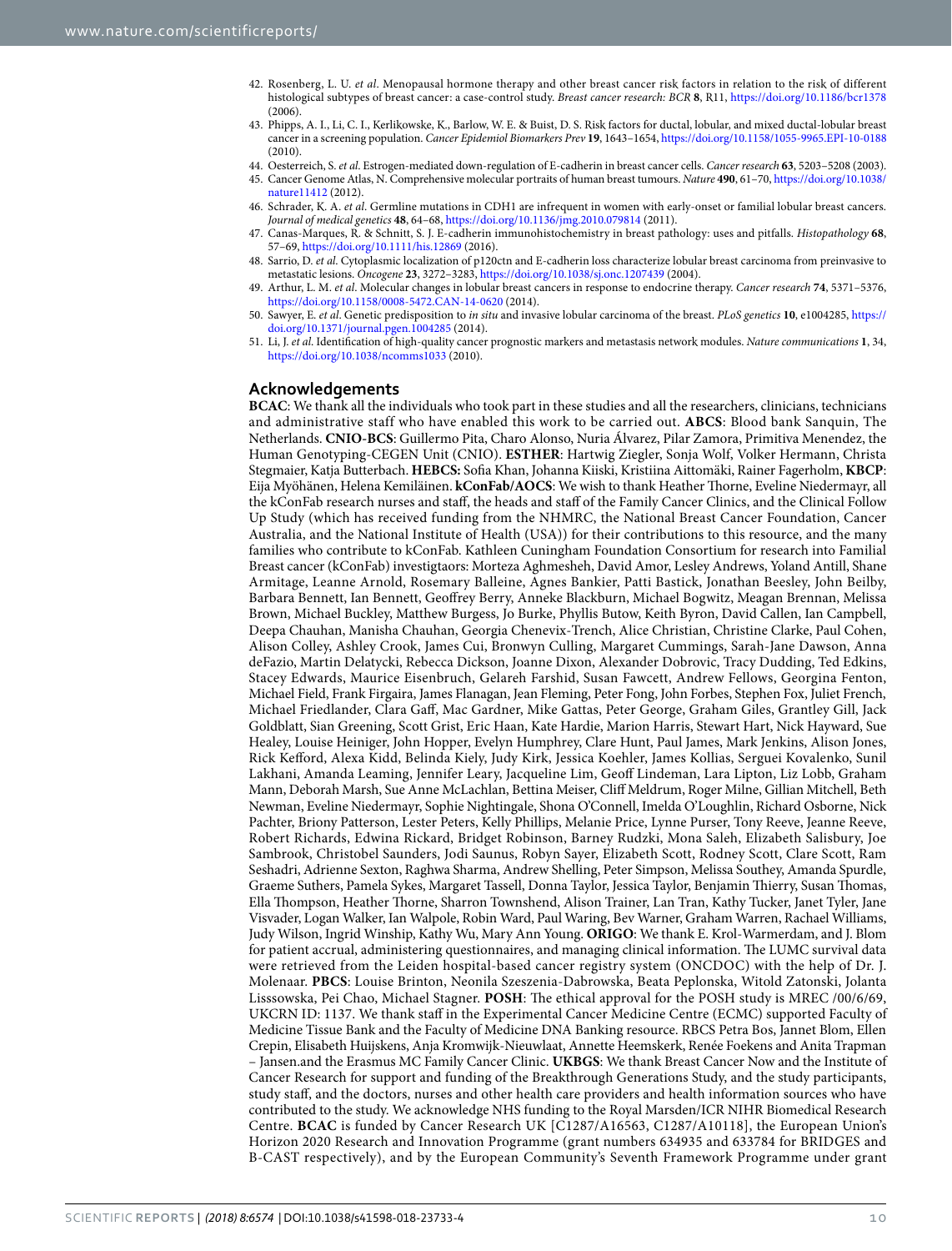- <span id="page-9-0"></span>42. Rosenberg, L. U. *et al*. Menopausal hormone therapy and other breast cancer risk factors in relation to the risk of different histological subtypes of breast cancer: a case-control study. *Breast cancer research: BCR* **8**, R11, [https://doi.org/10.1186/bcr1378](http://dx.doi.org/10.1186/bcr1378)  $(2006)$
- <span id="page-9-1"></span>43. Phipps, A. I., Li, C. I., Kerlikowske, K., Barlow, W. E. & Buist, D. S. Risk factors for ductal, lobular, and mixed ductal-lobular breast cancer in a screening population. *Cancer Epidemiol Biomarkers Prev* **19**, 1643–1654, [https://doi.org/10.1158/1055-9965.EPI-10-0188](http://dx.doi.org/10.1158/1055-9965.EPI-10-0188) (2010).
- <span id="page-9-2"></span>44. Oesterreich, S. *et al*. Estrogen-mediated down-regulation of E-cadherin in breast cancer cells. *Cancer research* **63**, 5203–5208 (2003).
- <span id="page-9-3"></span>45. Cancer Genome Atlas, N. Comprehensive molecular portraits of human breast tumours. *Nature* **490**, 61–70, [https://doi.org/10.1038/](http://dx.doi.org/10.1038/nature11412) [nature11412](http://dx.doi.org/10.1038/nature11412) (2012).
- <span id="page-9-4"></span>46. Schrader, K. A. *et al*. Germline mutations in CDH1 are infrequent in women with early-onset or familial lobular breast cancers. *Journal of medical genetics* **48**, 64–68, [https://doi.org/10.1136/jmg.2010.079814](http://dx.doi.org/10.1136/jmg.2010.079814) (2011).
- <span id="page-9-5"></span>47. Canas-Marques, R. & Schnitt, S. J. E-cadherin immunohistochemistry in breast pathology: uses and pitfalls. *Histopathology* **68**, 57–69, [https://doi.org/10.1111/his.12869](http://dx.doi.org/10.1111/his.12869) (2016).
- <span id="page-9-6"></span>48. Sarrio, D. *et al*. Cytoplasmic localization of p120ctn and E-cadherin loss characterize lobular breast carcinoma from preinvasive to metastatic lesions. *Oncogene* **23**, 3272–3283, [https://doi.org/10.1038/sj.onc.1207439](http://dx.doi.org/10.1038/sj.onc.1207439) (2004).
- <span id="page-9-7"></span>49. Arthur, L. M. *et al*. Molecular changes in lobular breast cancers in response to endocrine therapy. *Cancer research* **74**, 5371–5376, [https://doi.org/10.1158/0008-5472.CAN-14-0620](http://dx.doi.org/10.1158/0008-5472.CAN-14-0620) (2014).
- <span id="page-9-8"></span>50. Sawyer, E. *et al*. Genetic predisposition to *in situ* and invasive lobular carcinoma of the breast. *PLoS genetics* **10**, e1004285, [https://](http://dx.doi.org/10.1371/journal.pgen.1004285) [doi.org/10.1371/journal.pgen.1004285](http://dx.doi.org/10.1371/journal.pgen.1004285) (2014).
- <span id="page-9-9"></span>51. Li, J. *et al*. Identifcation of high-quality cancer prognostic markers and metastasis network modules. *Nature communications* **1**, 34, [https://doi.org/10.1038/ncomms1033](http://dx.doi.org/10.1038/ncomms1033) (2010).

#### **Acknowledgements**

**BCAC**: We thank all the individuals who took part in these studies and all the researchers, clinicians, technicians and administrative staff who have enabled this work to be carried out. **ABCS**: Blood bank Sanquin, The Netherlands. **CNIO-BCS**: Guillermo Pita, Charo Alonso, Nuria Álvarez, Pilar Zamora, Primitiva Menendez, the Human Genotyping-CEGEN Unit (CNIO). **ESTHER**: Hartwig Ziegler, Sonja Wolf, Volker Hermann, Christa Stegmaier, Katja Butterbach. **HEBCS:** Sofa Khan, Johanna Kiiski, Kristiina Aittomäki, Rainer Fagerholm, **KBCP**: Eija Myöhänen, Helena Kemiläinen. **kConFab/AOCS**: We wish to thank Heather Torne, Eveline Niedermayr, all the kConFab research nurses and staff, the heads and staff of the Family Cancer Clinics, and the Clinical Follow Up Study (which has received funding from the NHMRC, the National Breast Cancer Foundation, Cancer Australia, and the National Institute of Health (USA)) for their contributions to this resource, and the many families who contribute to kConFab. Kathleen Cuningham Foundation Consortium for research into Familial Breast cancer (kConFab) investigtaors: Morteza Aghmesheh, David Amor, Lesley Andrews, Yoland Antill, Shane Armitage, Leanne Arnold, Rosemary Balleine, Agnes Bankier, Patti Bastick, Jonathan Beesley, John Beilby, Barbara Bennett, Ian Bennett, Geofrey Berry, Anneke Blackburn, Michael Bogwitz, Meagan Brennan, Melissa Brown, Michael Buckley, Matthew Burgess, Jo Burke, Phyllis Butow, Keith Byron, David Callen, Ian Campbell, Deepa Chauhan, Manisha Chauhan, Georgia Chenevix-Trench, Alice Christian, Christine Clarke, Paul Cohen, Alison Colley, Ashley Crook, James Cui, Bronwyn Culling, Margaret Cummings, Sarah-Jane Dawson, Anna deFazio, Martin Delatycki, Rebecca Dickson, Joanne Dixon, Alexander Dobrovic, Tracy Dudding, Ted Edkins, Stacey Edwards, Maurice Eisenbruch, Gelareh Farshid, Susan Fawcett, Andrew Fellows, Georgina Fenton, Michael Field, Frank Firgaira, James Flanagan, Jean Fleming, Peter Fong, John Forbes, Stephen Fox, Juliet French, Michael Friedlander, Clara Gaf, Mac Gardner, Mike Gattas, Peter George, Graham Giles, Grantley Gill, Jack Goldblatt, Sian Greening, Scott Grist, Eric Haan, Kate Hardie, Marion Harris, Stewart Hart, Nick Hayward, Sue Healey, Louise Heiniger, John Hopper, Evelyn Humphrey, Clare Hunt, Paul James, Mark Jenkins, Alison Jones, Rick Keford, Alexa Kidd, Belinda Kiely, Judy Kirk, Jessica Koehler, James Kollias, Serguei Kovalenko, Sunil Lakhani, Amanda Leaming, Jennifer Leary, Jacqueline Lim, Geof Lindeman, Lara Lipton, Liz Lobb, Graham Mann, Deborah Marsh, Sue Anne McLachlan, Bettina Meiser, Clif Meldrum, Roger Milne, Gillian Mitchell, Beth Newman, Eveline Niedermayr, Sophie Nightingale, Shona O'Connell, Imelda O'Loughlin, Richard Osborne, Nick Pachter, Briony Patterson, Lester Peters, Kelly Phillips, Melanie Price, Lynne Purser, Tony Reeve, Jeanne Reeve, Robert Richards, Edwina Rickard, Bridget Robinson, Barney Rudzki, Mona Saleh, Elizabeth Salisbury, Joe Sambrook, Christobel Saunders, Jodi Saunus, Robyn Sayer, Elizabeth Scott, Rodney Scott, Clare Scott, Ram Seshadri, Adrienne Sexton, Raghwa Sharma, Andrew Shelling, Peter Simpson, Melissa Southey, Amanda Spurdle, Graeme Suthers, Pamela Sykes, Margaret Tassell, Donna Taylor, Jessica Taylor, Benjamin Tierry, Susan Tomas, Ella Thompson, Heather Thorne, Sharron Townshend, Alison Trainer, Lan Tran, Kathy Tucker, Janet Tyler, Jane Visvader, Logan Walker, Ian Walpole, Robin Ward, Paul Waring, Bev Warner, Graham Warren, Rachael Williams, Judy Wilson, Ingrid Winship, Kathy Wu, Mary Ann Young. **ORIGO**: We thank E. Krol-Warmerdam, and J. Blom for patient accrual, administering questionnaires, and managing clinical information. The LUMC survival data were retrieved from the Leiden hospital-based cancer registry system (ONCDOC) with the help of Dr. J. Molenaar. **PBCS**: Louise Brinton, Neonila Szeszenia-Dabrowska, Beata Peplonska, Witold Zatonski, Jolanta Lisssowska, Pei Chao, Michael Stagner. **POSH**: The ethical approval for the POSH study is MREC /00/6/69, UKCRN ID: 1137. We thank staf in the Experimental Cancer Medicine Centre (ECMC) supported Faculty of Medicine Tissue Bank and the Faculty of Medicine DNA Banking resource. RBCS Petra Bos, Jannet Blom, Ellen Crepin, Elisabeth Huijskens, Anja Kromwijk-Nieuwlaat, Annette Heemskerk, Renée Foekens and Anita Trapman – Jansen.and the Erasmus MC Family Cancer Clinic. **UKBGS**: We thank Breast Cancer Now and the Institute of Cancer Research for support and funding of the Breakthrough Generations Study, and the study participants, study staf, and the doctors, nurses and other health care providers and health information sources who have contributed to the study. We acknowledge NHS funding to the Royal Marsden/ICR NIHR Biomedical Research Centre. **BCAC** is funded by Cancer Research UK [C1287/A16563, C1287/A10118], the European Union's Horizon 2020 Research and Innovation Programme (grant numbers 634935 and 633784 for BRIDGES and B-CAST respectively), and by the European Community's Seventh Framework Programme under grant